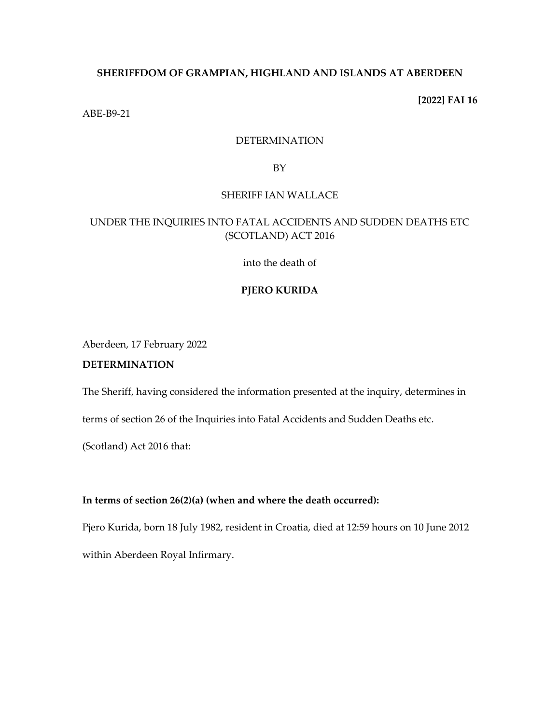# **SHERIFFDOM OF GRAMPIAN, HIGHLAND AND ISLANDS AT ABERDEEN**

**[2022] FAI 16**

ABE-B9-21

## DETERMINATION

BY

## SHERIFF IAN WALLACE

# UNDER THE INQUIRIES INTO FATAL ACCIDENTS AND SUDDEN DEATHS ETC (SCOTLAND) ACT 2016

into the death of

# **PJERO KURIDA**

Aberdeen, 17 February 2022

# **DETERMINATION**

The Sheriff, having considered the information presented at the inquiry, determines in

terms of section 26 of the Inquiries into Fatal Accidents and Sudden Deaths etc.

(Scotland) Act 2016 that:

# **In terms of section 26(2)(a) (when and where the death occurred):**

Pjero Kurida, born 18 July 1982, resident in Croatia, died at 12:59 hours on 10 June 2012 within Aberdeen Royal Infirmary.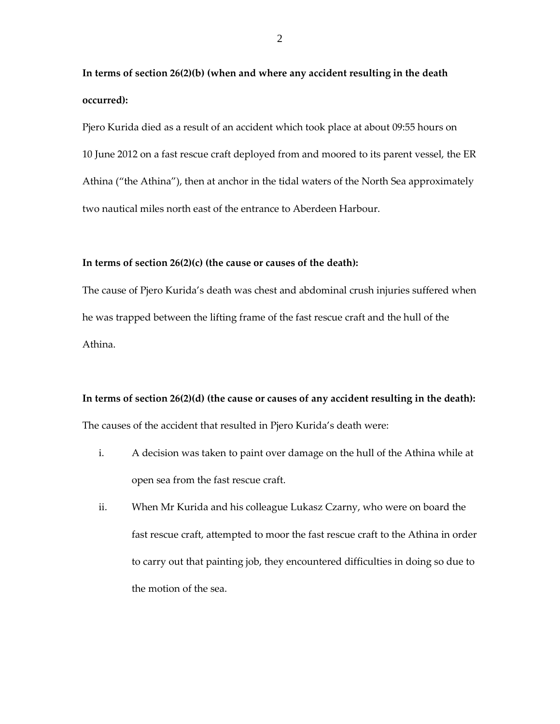**In terms of section 26(2)(b) (when and where any accident resulting in the death occurred):**

Pjero Kurida died as a result of an accident which took place at about 09:55 hours on 10 June 2012 on a fast rescue craft deployed from and moored to its parent vessel, the ER Athina ("the Athina"), then at anchor in the tidal waters of the North Sea approximately two nautical miles north east of the entrance to Aberdeen Harbour.

#### **In terms of section 26(2)(c) (the cause or causes of the death):**

The cause of Pjero Kurida's death was chest and abdominal crush injuries suffered when he was trapped between the lifting frame of the fast rescue craft and the hull of the Athina.

# **In terms of section 26(2)(d) (the cause or causes of any accident resulting in the death):** The causes of the accident that resulted in Pjero Kurida's death were:

- i. A decision was taken to paint over damage on the hull of the Athina while at open sea from the fast rescue craft.
- ii. When Mr Kurida and his colleague Lukasz Czarny, who were on board the fast rescue craft, attempted to moor the fast rescue craft to the Athina in order to carry out that painting job, they encountered difficulties in doing so due to the motion of the sea.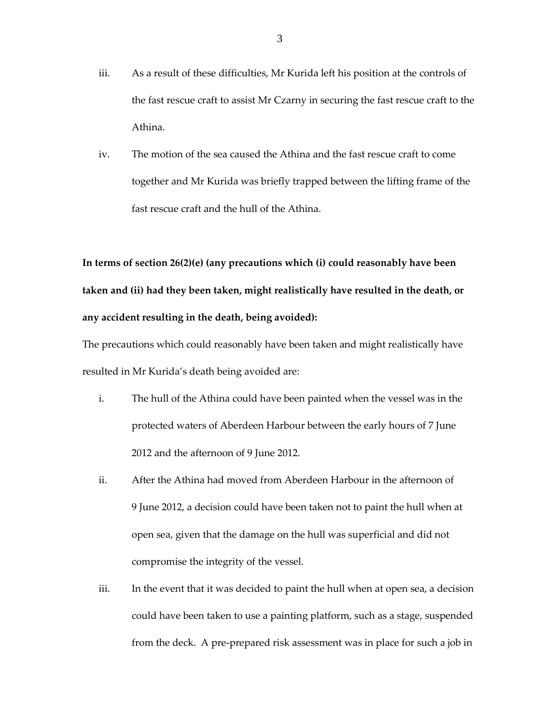- iii. As a result of these difficulties, Mr Kurida left his position at the controls of the fast rescue craft to assist Mr Czarny in securing the fast rescue craft to the Athina.
- iv. The motion of the sea caused the Athina and the fast rescue craft to come together and Mr Kurida was briefly trapped between the lifting frame of the fast rescue craft and the hull of the Athina.

**In terms of section 26(2)(e) (any precautions which (i) could reasonably have been taken and (ii) had they been taken, might realistically have resulted in the death, or any accident resulting in the death, being avoided):**

The precautions which could reasonably have been taken and might realistically have resulted in Mr Kurida's death being avoided are:

- i. The hull of the Athina could have been painted when the vessel was in the protected waters of Aberdeen Harbour between the early hours of 7 June 2012 and the afternoon of 9 June 2012.
- ii. After the Athina had moved from Aberdeen Harbour in the afternoon of 9 June 2012, a decision could have been taken not to paint the hull when at open sea, given that the damage on the hull was superficial and did not compromise the integrity of the vessel.
- iii. In the event that it was decided to paint the hull when at open sea, a decision could have been taken to use a painting platform, such as a stage, suspended from the deck. A pre-prepared risk assessment was in place for such a job in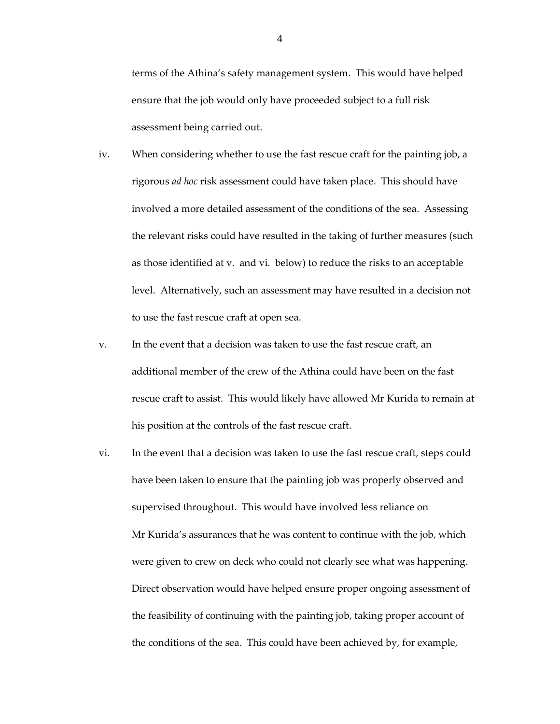terms of the Athina's safety management system. This would have helped ensure that the job would only have proceeded subject to a full risk assessment being carried out.

- iv. When considering whether to use the fast rescue craft for the painting job, a rigorous *ad hoc* risk assessment could have taken place. This should have involved a more detailed assessment of the conditions of the sea. Assessing the relevant risks could have resulted in the taking of further measures (such as those identified at v. and vi. below) to reduce the risks to an acceptable level. Alternatively, such an assessment may have resulted in a decision not to use the fast rescue craft at open sea.
- v. In the event that a decision was taken to use the fast rescue craft, an additional member of the crew of the Athina could have been on the fast rescue craft to assist. This would likely have allowed Mr Kurida to remain at his position at the controls of the fast rescue craft.
- vi. In the event that a decision was taken to use the fast rescue craft, steps could have been taken to ensure that the painting job was properly observed and supervised throughout. This would have involved less reliance on Mr Kurida's assurances that he was content to continue with the job, which were given to crew on deck who could not clearly see what was happening. Direct observation would have helped ensure proper ongoing assessment of the feasibility of continuing with the painting job, taking proper account of the conditions of the sea. This could have been achieved by, for example,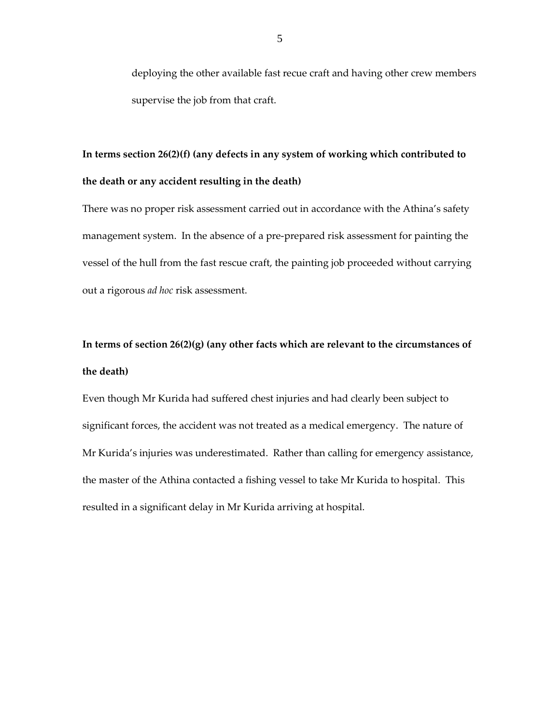deploying the other available fast recue craft and having other crew members supervise the job from that craft.

# **In terms section 26(2)(f) (any defects in any system of working which contributed to the death or any accident resulting in the death)**

There was no proper risk assessment carried out in accordance with the Athina's safety management system. In the absence of a pre-prepared risk assessment for painting the vessel of the hull from the fast rescue craft, the painting job proceeded without carrying out a rigorous *ad hoc* risk assessment.

# **In terms of section 26(2)(g) (any other facts which are relevant to the circumstances of the death)**

Even though Mr Kurida had suffered chest injuries and had clearly been subject to significant forces, the accident was not treated as a medical emergency. The nature of Mr Kurida's injuries was underestimated. Rather than calling for emergency assistance, the master of the Athina contacted a fishing vessel to take Mr Kurida to hospital. This resulted in a significant delay in Mr Kurida arriving at hospital.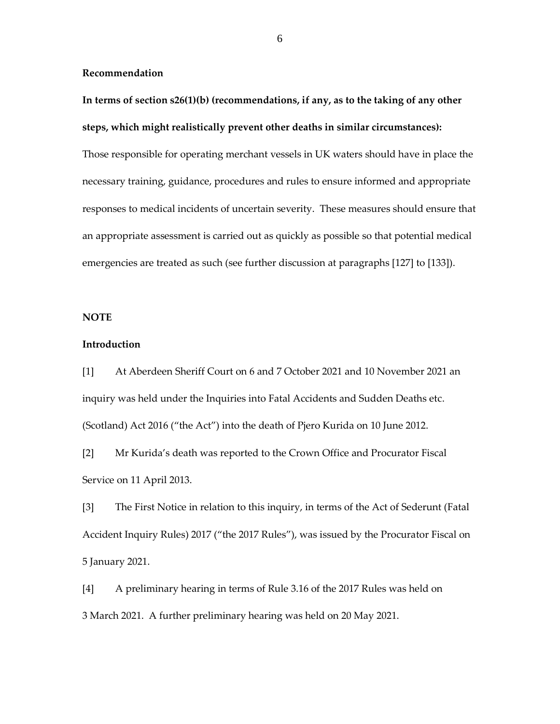**Recommendation**

**In terms of section s26(1)(b) (recommendations, if any, as to the taking of any other steps, which might realistically prevent other deaths in similar circumstances):**

Those responsible for operating merchant vessels in UK waters should have in place the necessary training, guidance, procedures and rules to ensure informed and appropriate responses to medical incidents of uncertain severity. These measures should ensure that an appropriate assessment is carried out as quickly as possible so that potential medical emergencies are treated as such (see further discussion at paragraphs [127] to [133]).

## **NOTE**

## **Introduction**

[1] At Aberdeen Sheriff Court on 6 and 7 October 2021 and 10 November 2021 an inquiry was held under the Inquiries into Fatal Accidents and Sudden Deaths etc. (Scotland) Act 2016 ("the Act") into the death of Pjero Kurida on 10 June 2012.

[2] Mr Kurida's death was reported to the Crown Office and Procurator Fiscal Service on 11 April 2013.

[3] The First Notice in relation to this inquiry, in terms of the Act of Sederunt (Fatal Accident Inquiry Rules) 2017 ("the 2017 Rules"), was issued by the Procurator Fiscal on 5 January 2021.

[4] A preliminary hearing in terms of Rule 3.16 of the 2017 Rules was held on 3 March 2021. A further preliminary hearing was held on 20 May 2021.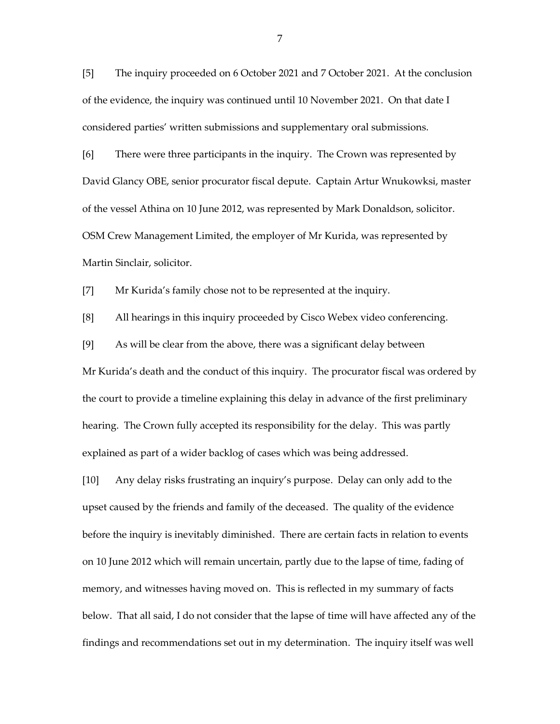[5] The inquiry proceeded on 6 October 2021 and 7 October 2021. At the conclusion of the evidence, the inquiry was continued until 10 November 2021. On that date I considered parties' written submissions and supplementary oral submissions.

[6] There were three participants in the inquiry. The Crown was represented by David Glancy OBE, senior procurator fiscal depute. Captain Artur Wnukowksi, master of the vessel Athina on 10 June 2012, was represented by Mark Donaldson, solicitor. OSM Crew Management Limited, the employer of Mr Kurida, was represented by Martin Sinclair, solicitor.

[7] Mr Kurida's family chose not to be represented at the inquiry.

[8] All hearings in this inquiry proceeded by Cisco Webex video conferencing.

[9] As will be clear from the above, there was a significant delay between

Mr Kurida's death and the conduct of this inquiry. The procurator fiscal was ordered by the court to provide a timeline explaining this delay in advance of the first preliminary hearing. The Crown fully accepted its responsibility for the delay. This was partly explained as part of a wider backlog of cases which was being addressed.

[10] Any delay risks frustrating an inquiry's purpose. Delay can only add to the upset caused by the friends and family of the deceased. The quality of the evidence before the inquiry is inevitably diminished. There are certain facts in relation to events on 10 June 2012 which will remain uncertain, partly due to the lapse of time, fading of memory, and witnesses having moved on. This is reflected in my summary of facts below. That all said, I do not consider that the lapse of time will have affected any of the findings and recommendations set out in my determination. The inquiry itself was well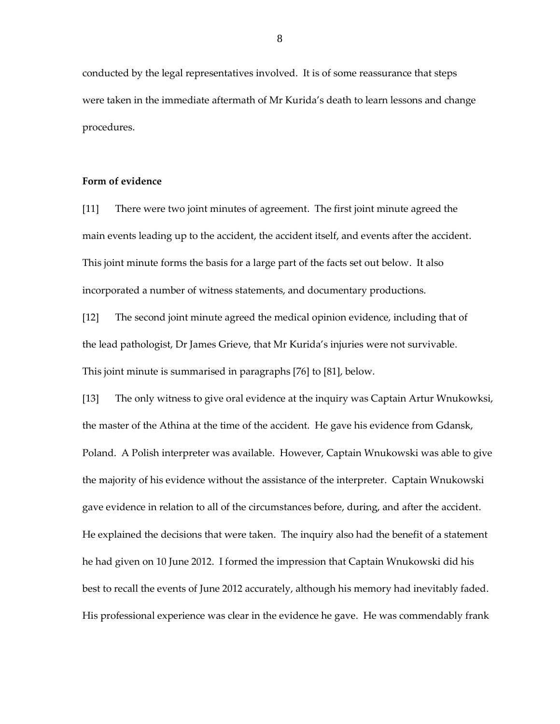conducted by the legal representatives involved. It is of some reassurance that steps were taken in the immediate aftermath of Mr Kurida's death to learn lessons and change procedures.

# **Form of evidence**

[11] There were two joint minutes of agreement. The first joint minute agreed the main events leading up to the accident, the accident itself, and events after the accident. This joint minute forms the basis for a large part of the facts set out below. It also incorporated a number of witness statements, and documentary productions.

[12] The second joint minute agreed the medical opinion evidence, including that of the lead pathologist, Dr James Grieve, that Mr Kurida's injuries were not survivable. This joint minute is summarised in paragraphs [76] to [81], below.

[13] The only witness to give oral evidence at the inquiry was Captain Artur Wnukowksi, the master of the Athina at the time of the accident. He gave his evidence from Gdansk, Poland. A Polish interpreter was available. However, Captain Wnukowski was able to give the majority of his evidence without the assistance of the interpreter. Captain Wnukowski gave evidence in relation to all of the circumstances before, during, and after the accident. He explained the decisions that were taken. The inquiry also had the benefit of a statement he had given on 10 June 2012. I formed the impression that Captain Wnukowski did his best to recall the events of June 2012 accurately, although his memory had inevitably faded. His professional experience was clear in the evidence he gave. He was commendably frank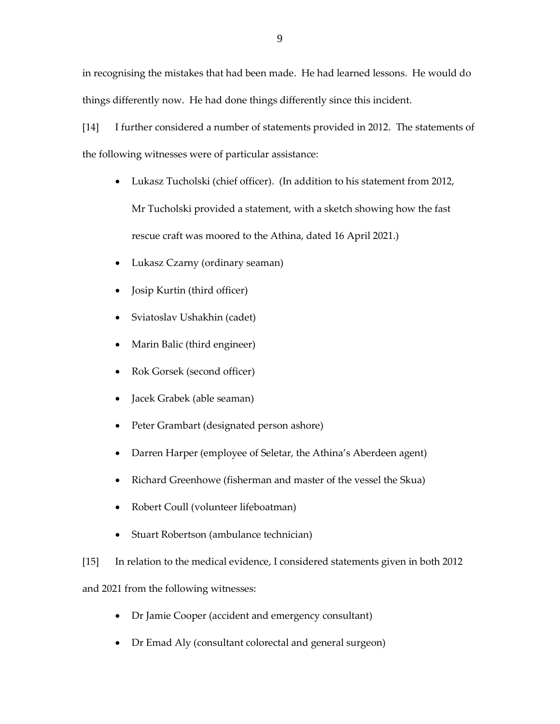in recognising the mistakes that had been made. He had learned lessons. He would do things differently now. He had done things differently since this incident.

[14] I further considered a number of statements provided in 2012. The statements of the following witnesses were of particular assistance:

- Lukasz Tucholski (chief officer). (In addition to his statement from 2012, Mr Tucholski provided a statement, with a sketch showing how the fast rescue craft was moored to the Athina, dated 16 April 2021.)
- Lukasz Czarny (ordinary seaman)
- Josip Kurtin (third officer)
- Sviatoslav Ushakhin (cadet)
- Marin Balic (third engineer)
- Rok Gorsek (second officer)
- Jacek Grabek (able seaman)
- Peter Grambart (designated person ashore)
- Darren Harper (employee of Seletar, the Athina's Aberdeen agent)
- Richard Greenhowe (fisherman and master of the vessel the Skua)
- Robert Coull (volunteer lifeboatman)
- Stuart Robertson (ambulance technician)

[15] In relation to the medical evidence, I considered statements given in both 2012

and 2021 from the following witnesses:

- Dr Jamie Cooper (accident and emergency consultant)
- Dr Emad Aly (consultant colorectal and general surgeon)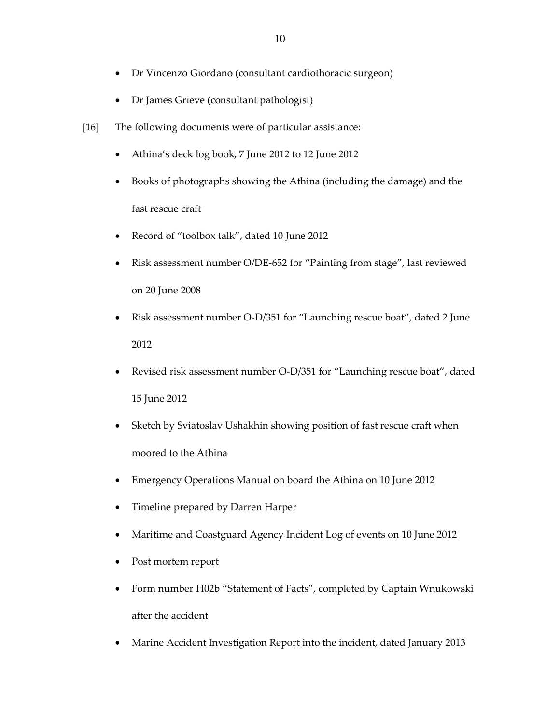- Dr Vincenzo Giordano (consultant cardiothoracic surgeon)
- Dr James Grieve (consultant pathologist)
- [16] The following documents were of particular assistance:
	- Athina's deck log book, 7 June 2012 to 12 June 2012
	- Books of photographs showing the Athina (including the damage) and the fast rescue craft
	- Record of "toolbox talk", dated 10 June 2012
	- Risk assessment number O/DE-652 for "Painting from stage", last reviewed on 20 June 2008
	- Risk assessment number O-D/351 for "Launching rescue boat", dated 2 June 2012
	- Revised risk assessment number O-D/351 for "Launching rescue boat", dated 15 June 2012
	- Sketch by Sviatoslav Ushakhin showing position of fast rescue craft when moored to the Athina
	- Emergency Operations Manual on board the Athina on 10 June 2012
	- Timeline prepared by Darren Harper
	- Maritime and Coastguard Agency Incident Log of events on 10 June 2012
	- Post mortem report
	- Form number H02b "Statement of Facts", completed by Captain Wnukowski after the accident
	- Marine Accident Investigation Report into the incident, dated January 2013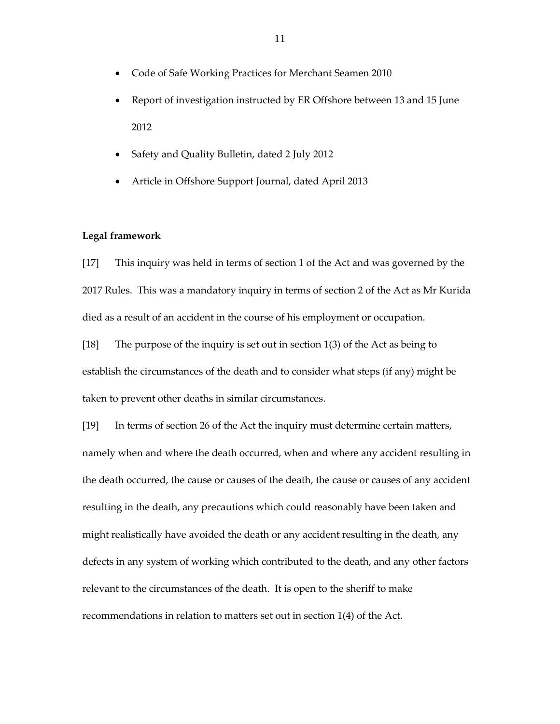- Code of Safe Working Practices for Merchant Seamen 2010
- Report of investigation instructed by ER Offshore between 13 and 15 June 2012
- Safety and Quality Bulletin, dated 2 July 2012
- Article in Offshore Support Journal, dated April 2013

# **Legal framework**

[17] This inquiry was held in terms of section 1 of the Act and was governed by the 2017 Rules. This was a mandatory inquiry in terms of section 2 of the Act as Mr Kurida died as a result of an accident in the course of his employment or occupation.

[18] The purpose of the inquiry is set out in section 1(3) of the Act as being to establish the circumstances of the death and to consider what steps (if any) might be taken to prevent other deaths in similar circumstances.

[19] In terms of section 26 of the Act the inquiry must determine certain matters, namely when and where the death occurred, when and where any accident resulting in the death occurred, the cause or causes of the death, the cause or causes of any accident resulting in the death, any precautions which could reasonably have been taken and might realistically have avoided the death or any accident resulting in the death, any defects in any system of working which contributed to the death, and any other factors relevant to the circumstances of the death. It is open to the sheriff to make recommendations in relation to matters set out in section 1(4) of the Act.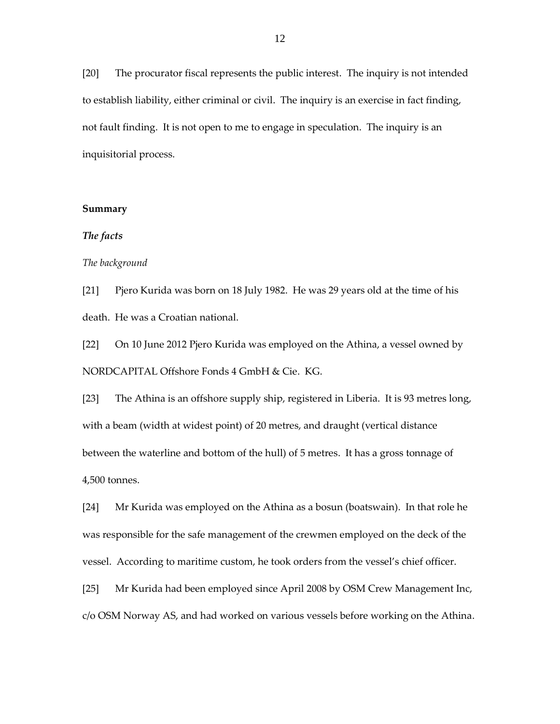[20] The procurator fiscal represents the public interest. The inquiry is not intended to establish liability, either criminal or civil. The inquiry is an exercise in fact finding, not fault finding. It is not open to me to engage in speculation. The inquiry is an inquisitorial process.

#### **Summary**

## *The facts*

#### *The background*

[21] Pjero Kurida was born on 18 July 1982. He was 29 years old at the time of his death. He was a Croatian national.

[22] On 10 June 2012 Pjero Kurida was employed on the Athina, a vessel owned by NORDCAPITAL Offshore Fonds 4 GmbH & Cie. KG.

[23] The Athina is an offshore supply ship, registered in Liberia. It is 93 metres long, with a beam (width at widest point) of 20 metres, and draught (vertical distance between the waterline and bottom of the hull) of 5 metres. It has a gross tonnage of 4,500 tonnes.

[24] Mr Kurida was employed on the Athina as a bosun (boatswain). In that role he was responsible for the safe management of the crewmen employed on the deck of the vessel. According to maritime custom, he took orders from the vessel's chief officer.

[25] Mr Kurida had been employed since April 2008 by OSM Crew Management Inc, c/o OSM Norway AS, and had worked on various vessels before working on the Athina.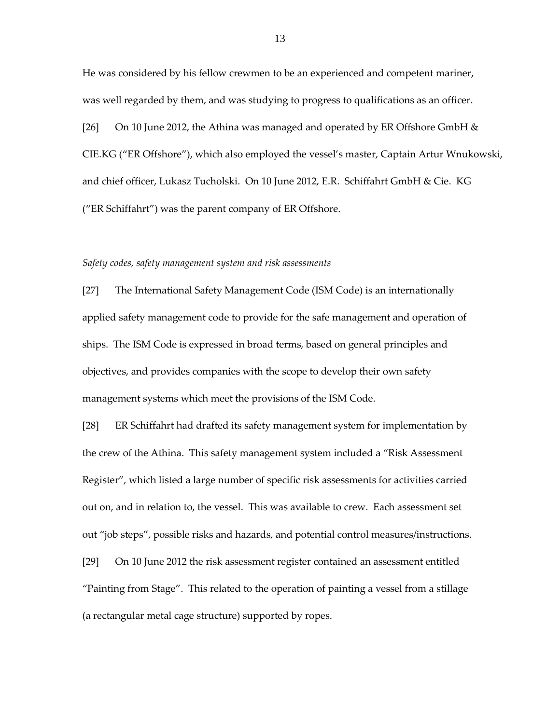He was considered by his fellow crewmen to be an experienced and competent mariner, was well regarded by them, and was studying to progress to qualifications as an officer.

[26] On 10 June 2012, the Athina was managed and operated by ER Offshore GmbH  $\&$ CIE.KG ("ER Offshore"), which also employed the vessel's master, Captain Artur Wnukowski, and chief officer, Lukasz Tucholski. On 10 June 2012, E.R. Schiffahrt GmbH & Cie. KG ("ER Schiffahrt") was the parent company of ER Offshore.

#### *Safety codes, safety management system and risk assessments*

[27] The International Safety Management Code (ISM Code) is an internationally applied safety management code to provide for the safe management and operation of ships. The ISM Code is expressed in broad terms, based on general principles and objectives, and provides companies with the scope to develop their own safety management systems which meet the provisions of the ISM Code.

[28] ER Schiffahrt had drafted its safety management system for implementation by the crew of the Athina. This safety management system included a "Risk Assessment Register", which listed a large number of specific risk assessments for activities carried out on, and in relation to, the vessel. This was available to crew. Each assessment set out "job steps", possible risks and hazards, and potential control measures/instructions. [29] On 10 June 2012 the risk assessment register contained an assessment entitled "Painting from Stage". This related to the operation of painting a vessel from a stillage (a rectangular metal cage structure) supported by ropes.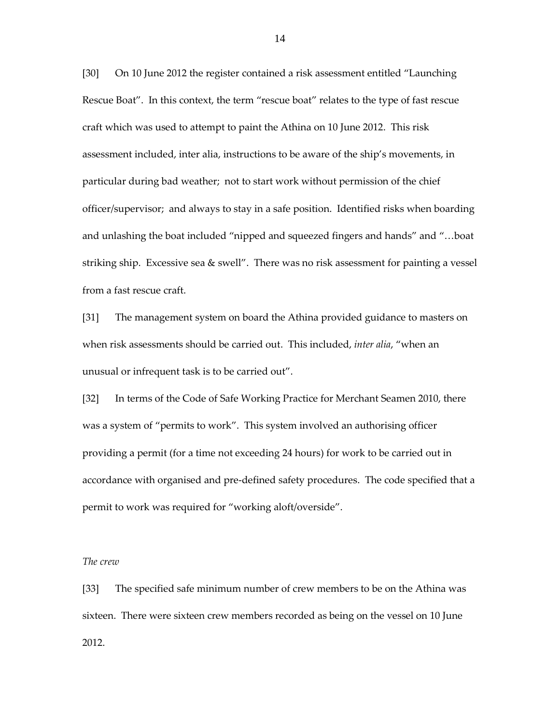[30] On 10 June 2012 the register contained a risk assessment entitled "Launching Rescue Boat". In this context, the term "rescue boat" relates to the type of fast rescue craft which was used to attempt to paint the Athina on 10 June 2012. This risk assessment included, inter alia, instructions to be aware of the ship's movements, in particular during bad weather; not to start work without permission of the chief officer/supervisor; and always to stay in a safe position. Identified risks when boarding and unlashing the boat included "nipped and squeezed fingers and hands" and "…boat striking ship. Excessive sea & swell". There was no risk assessment for painting a vessel from a fast rescue craft.

[31] The management system on board the Athina provided guidance to masters on when risk assessments should be carried out. This included, *inter alia*, "when an unusual or infrequent task is to be carried out".

[32] In terms of the Code of Safe Working Practice for Merchant Seamen 2010, there was a system of "permits to work". This system involved an authorising officer providing a permit (for a time not exceeding 24 hours) for work to be carried out in accordance with organised and pre-defined safety procedures. The code specified that a permit to work was required for "working aloft/overside".

#### *The crew*

[33] The specified safe minimum number of crew members to be on the Athina was sixteen. There were sixteen crew members recorded as being on the vessel on 10 June 2012.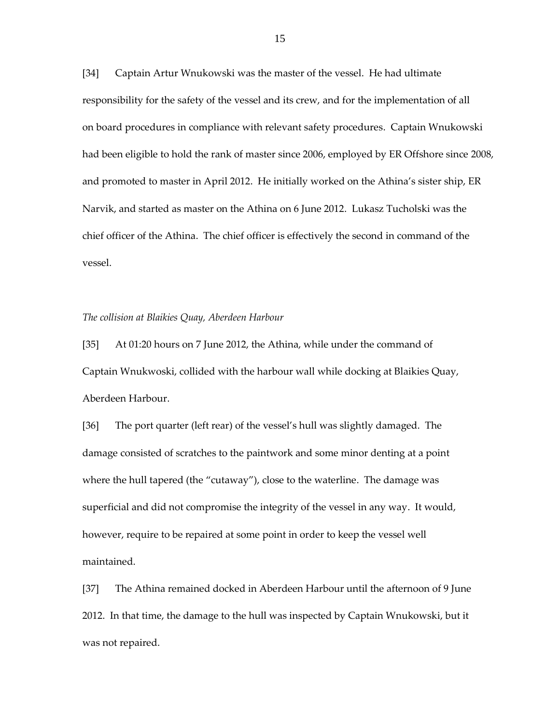[34] Captain Artur Wnukowski was the master of the vessel. He had ultimate responsibility for the safety of the vessel and its crew, and for the implementation of all on board procedures in compliance with relevant safety procedures. Captain Wnukowski had been eligible to hold the rank of master since 2006, employed by ER Offshore since 2008, and promoted to master in April 2012. He initially worked on the Athina's sister ship, ER Narvik, and started as master on the Athina on 6 June 2012. Lukasz Tucholski was the chief officer of the Athina. The chief officer is effectively the second in command of the vessel.

#### *The collision at Blaikies Quay, Aberdeen Harbour*

[35] At 01:20 hours on 7 June 2012, the Athina, while under the command of Captain Wnukwoski, collided with the harbour wall while docking at Blaikies Quay, Aberdeen Harbour.

[36] The port quarter (left rear) of the vessel's hull was slightly damaged. The damage consisted of scratches to the paintwork and some minor denting at a point where the hull tapered (the "cutaway"), close to the waterline. The damage was superficial and did not compromise the integrity of the vessel in any way. It would, however, require to be repaired at some point in order to keep the vessel well maintained.

[37] The Athina remained docked in Aberdeen Harbour until the afternoon of 9 June 2012. In that time, the damage to the hull was inspected by Captain Wnukowski, but it was not repaired.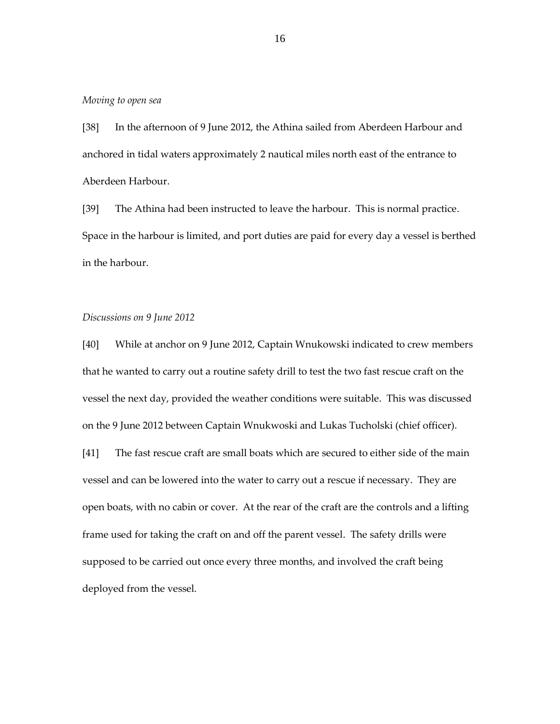## *Moving to open sea*

[38] In the afternoon of 9 June 2012, the Athina sailed from Aberdeen Harbour and anchored in tidal waters approximately 2 nautical miles north east of the entrance to Aberdeen Harbour.

[39] The Athina had been instructed to leave the harbour. This is normal practice. Space in the harbour is limited, and port duties are paid for every day a vessel is berthed in the harbour.

## *Discussions on 9 June 2012*

[40] While at anchor on 9 June 2012, Captain Wnukowski indicated to crew members that he wanted to carry out a routine safety drill to test the two fast rescue craft on the vessel the next day, provided the weather conditions were suitable. This was discussed on the 9 June 2012 between Captain Wnukwoski and Lukas Tucholski (chief officer).

[41] The fast rescue craft are small boats which are secured to either side of the main vessel and can be lowered into the water to carry out a rescue if necessary. They are open boats, with no cabin or cover. At the rear of the craft are the controls and a lifting frame used for taking the craft on and off the parent vessel. The safety drills were supposed to be carried out once every three months, and involved the craft being deployed from the vessel.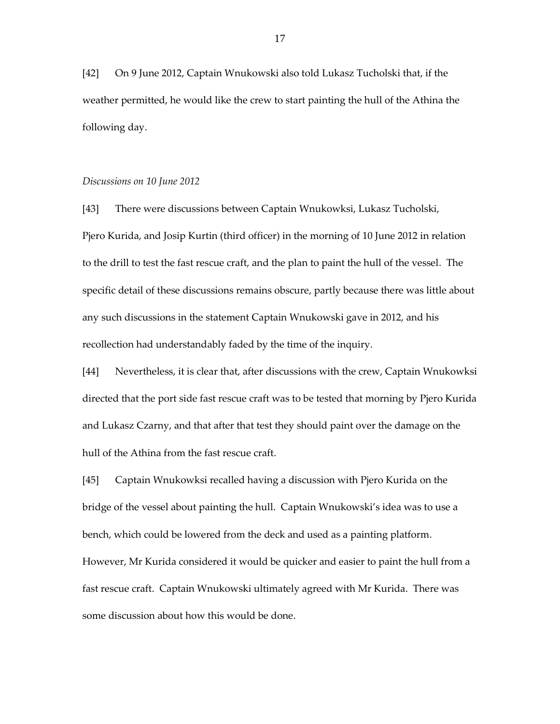[42] On 9 June 2012, Captain Wnukowski also told Lukasz Tucholski that, if the weather permitted, he would like the crew to start painting the hull of the Athina the following day.

## *Discussions on 10 June 2012*

[43] There were discussions between Captain Wnukowksi, Lukasz Tucholski, Pjero Kurida, and Josip Kurtin (third officer) in the morning of 10 June 2012 in relation to the drill to test the fast rescue craft, and the plan to paint the hull of the vessel. The specific detail of these discussions remains obscure, partly because there was little about any such discussions in the statement Captain Wnukowski gave in 2012, and his recollection had understandably faded by the time of the inquiry.

[44] Nevertheless, it is clear that, after discussions with the crew, Captain Wnukowksi directed that the port side fast rescue craft was to be tested that morning by Pjero Kurida and Lukasz Czarny, and that after that test they should paint over the damage on the hull of the Athina from the fast rescue craft.

[45] Captain Wnukowksi recalled having a discussion with Pjero Kurida on the bridge of the vessel about painting the hull. Captain Wnukowski's idea was to use a bench, which could be lowered from the deck and used as a painting platform. However, Mr Kurida considered it would be quicker and easier to paint the hull from a fast rescue craft. Captain Wnukowski ultimately agreed with Mr Kurida. There was some discussion about how this would be done.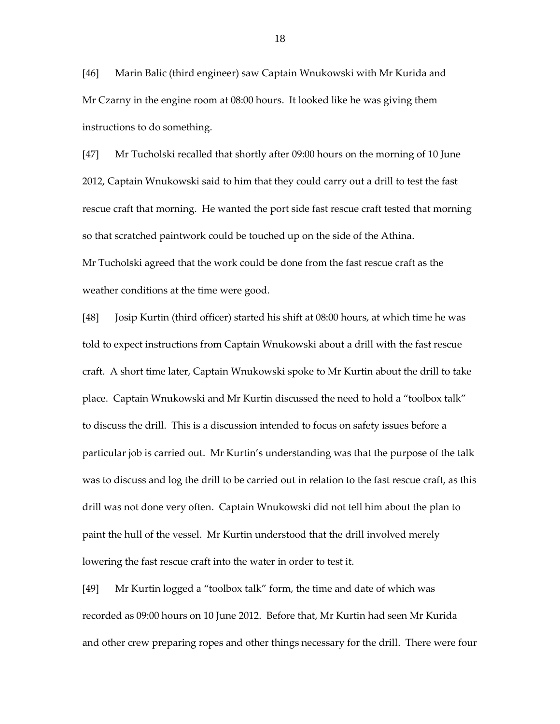[46] Marin Balic (third engineer) saw Captain Wnukowski with Mr Kurida and Mr Czarny in the engine room at 08:00 hours. It looked like he was giving them instructions to do something.

[47] Mr Tucholski recalled that shortly after 09:00 hours on the morning of 10 June 2012, Captain Wnukowski said to him that they could carry out a drill to test the fast rescue craft that morning. He wanted the port side fast rescue craft tested that morning so that scratched paintwork could be touched up on the side of the Athina. Mr Tucholski agreed that the work could be done from the fast rescue craft as the weather conditions at the time were good.

[48] Josip Kurtin (third officer) started his shift at 08:00 hours, at which time he was told to expect instructions from Captain Wnukowski about a drill with the fast rescue craft. A short time later, Captain Wnukowski spoke to Mr Kurtin about the drill to take place. Captain Wnukowski and Mr Kurtin discussed the need to hold a "toolbox talk" to discuss the drill. This is a discussion intended to focus on safety issues before a particular job is carried out. Mr Kurtin's understanding was that the purpose of the talk was to discuss and log the drill to be carried out in relation to the fast rescue craft, as this drill was not done very often. Captain Wnukowski did not tell him about the plan to paint the hull of the vessel. Mr Kurtin understood that the drill involved merely lowering the fast rescue craft into the water in order to test it.

[49] Mr Kurtin logged a "toolbox talk" form, the time and date of which was recorded as 09:00 hours on 10 June 2012. Before that, Mr Kurtin had seen Mr Kurida and other crew preparing ropes and other things necessary for the drill. There were four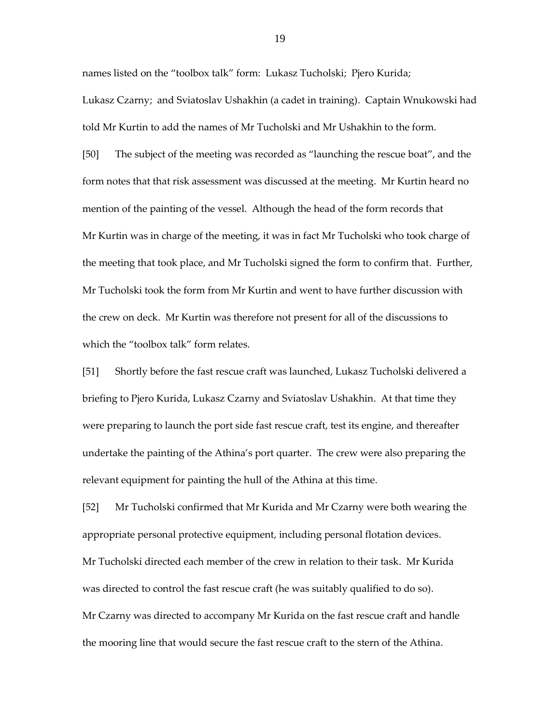names listed on the "toolbox talk" form: Lukasz Tucholski; Pjero Kurida; Lukasz Czarny; and Sviatoslav Ushakhin (a cadet in training). Captain Wnukowski had told Mr Kurtin to add the names of Mr Tucholski and Mr Ushakhin to the form.

[50] The subject of the meeting was recorded as "launching the rescue boat", and the form notes that that risk assessment was discussed at the meeting. Mr Kurtin heard no mention of the painting of the vessel. Although the head of the form records that Mr Kurtin was in charge of the meeting, it was in fact Mr Tucholski who took charge of the meeting that took place, and Mr Tucholski signed the form to confirm that. Further, Mr Tucholski took the form from Mr Kurtin and went to have further discussion with the crew on deck. Mr Kurtin was therefore not present for all of the discussions to which the "toolbox talk" form relates.

[51] Shortly before the fast rescue craft was launched, Lukasz Tucholski delivered a briefing to Pjero Kurida, Lukasz Czarny and Sviatoslav Ushakhin. At that time they were preparing to launch the port side fast rescue craft, test its engine, and thereafter undertake the painting of the Athina's port quarter. The crew were also preparing the relevant equipment for painting the hull of the Athina at this time.

[52] Mr Tucholski confirmed that Mr Kurida and Mr Czarny were both wearing the appropriate personal protective equipment, including personal flotation devices. Mr Tucholski directed each member of the crew in relation to their task. Mr Kurida was directed to control the fast rescue craft (he was suitably qualified to do so). Mr Czarny was directed to accompany Mr Kurida on the fast rescue craft and handle the mooring line that would secure the fast rescue craft to the stern of the Athina.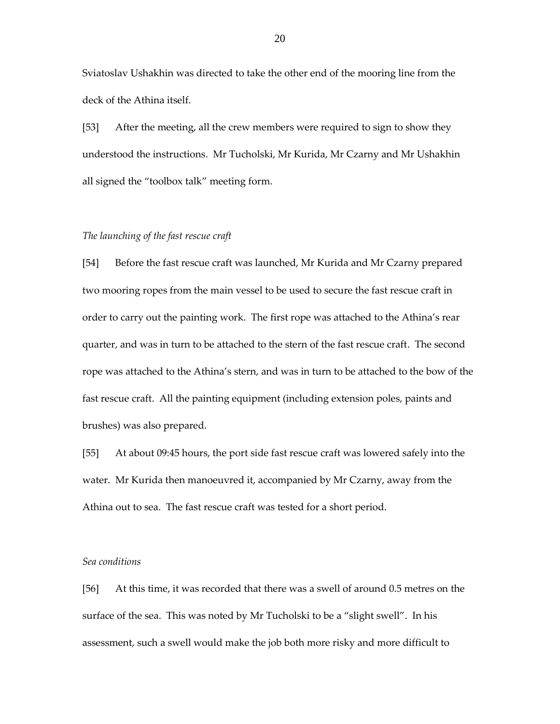Sviatoslav Ushakhin was directed to take the other end of the mooring line from the deck of the Athina itself.

[53] After the meeting, all the crew members were required to sign to show they understood the instructions. Mr Tucholski, Mr Kurida, Mr Czarny and Mr Ushakhin all signed the "toolbox talk" meeting form.

## *The launching of the fast rescue craft*

[54] Before the fast rescue craft was launched, Mr Kurida and Mr Czarny prepared two mooring ropes from the main vessel to be used to secure the fast rescue craft in order to carry out the painting work. The first rope was attached to the Athina's rear quarter, and was in turn to be attached to the stern of the fast rescue craft. The second rope was attached to the Athina's stern, and was in turn to be attached to the bow of the fast rescue craft. All the painting equipment (including extension poles, paints and brushes) was also prepared.

[55] At about 09:45 hours, the port side fast rescue craft was lowered safely into the water. Mr Kurida then manoeuvred it, accompanied by Mr Czarny, away from the Athina out to sea. The fast rescue craft was tested for a short period.

#### *Sea conditions*

[56] At this time, it was recorded that there was a swell of around 0.5 metres on the surface of the sea. This was noted by Mr Tucholski to be a "slight swell". In his assessment, such a swell would make the job both more risky and more difficult to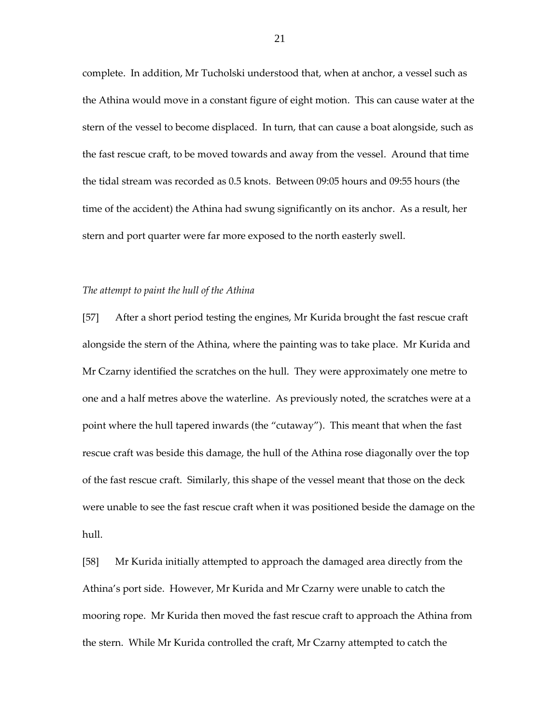complete. In addition, Mr Tucholski understood that, when at anchor, a vessel such as the Athina would move in a constant figure of eight motion. This can cause water at the stern of the vessel to become displaced. In turn, that can cause a boat alongside, such as the fast rescue craft, to be moved towards and away from the vessel. Around that time the tidal stream was recorded as 0.5 knots. Between 09:05 hours and 09:55 hours (the time of the accident) the Athina had swung significantly on its anchor. As a result, her stern and port quarter were far more exposed to the north easterly swell.

#### *The attempt to paint the hull of the Athina*

[57] After a short period testing the engines, Mr Kurida brought the fast rescue craft alongside the stern of the Athina, where the painting was to take place. Mr Kurida and Mr Czarny identified the scratches on the hull. They were approximately one metre to one and a half metres above the waterline. As previously noted, the scratches were at a point where the hull tapered inwards (the "cutaway"). This meant that when the fast rescue craft was beside this damage, the hull of the Athina rose diagonally over the top of the fast rescue craft. Similarly, this shape of the vessel meant that those on the deck were unable to see the fast rescue craft when it was positioned beside the damage on the hull.

[58] Mr Kurida initially attempted to approach the damaged area directly from the Athina's port side. However, Mr Kurida and Mr Czarny were unable to catch the mooring rope. Mr Kurida then moved the fast rescue craft to approach the Athina from the stern. While Mr Kurida controlled the craft, Mr Czarny attempted to catch the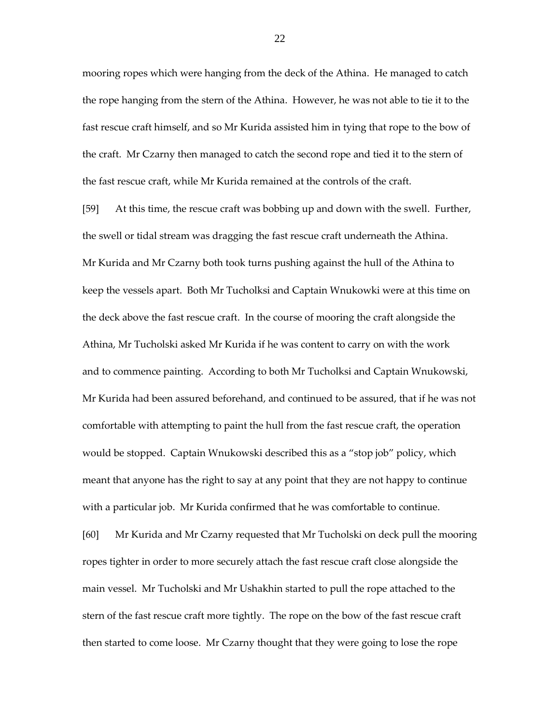mooring ropes which were hanging from the deck of the Athina. He managed to catch the rope hanging from the stern of the Athina. However, he was not able to tie it to the fast rescue craft himself, and so Mr Kurida assisted him in tying that rope to the bow of the craft. Mr Czarny then managed to catch the second rope and tied it to the stern of the fast rescue craft, while Mr Kurida remained at the controls of the craft.

[59] At this time, the rescue craft was bobbing up and down with the swell. Further, the swell or tidal stream was dragging the fast rescue craft underneath the Athina. Mr Kurida and Mr Czarny both took turns pushing against the hull of the Athina to keep the vessels apart. Both Mr Tucholksi and Captain Wnukowki were at this time on the deck above the fast rescue craft. In the course of mooring the craft alongside the Athina, Mr Tucholski asked Mr Kurida if he was content to carry on with the work and to commence painting. According to both Mr Tucholksi and Captain Wnukowski, Mr Kurida had been assured beforehand, and continued to be assured, that if he was not comfortable with attempting to paint the hull from the fast rescue craft, the operation would be stopped. Captain Wnukowski described this as a "stop job" policy, which meant that anyone has the right to say at any point that they are not happy to continue with a particular job. Mr Kurida confirmed that he was comfortable to continue. [60] Mr Kurida and Mr Czarny requested that Mr Tucholski on deck pull the mooring ropes tighter in order to more securely attach the fast rescue craft close alongside the main vessel. Mr Tucholski and Mr Ushakhin started to pull the rope attached to the

stern of the fast rescue craft more tightly. The rope on the bow of the fast rescue craft then started to come loose. Mr Czarny thought that they were going to lose the rope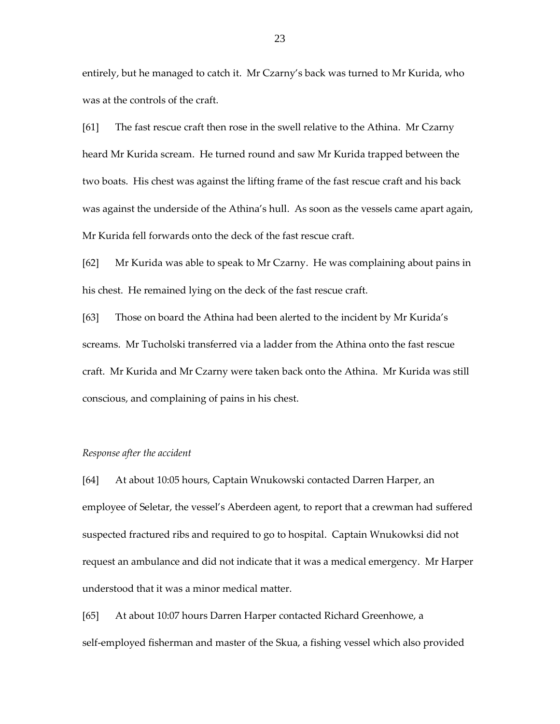entirely, but he managed to catch it. Mr Czarny's back was turned to Mr Kurida, who was at the controls of the craft.

[61] The fast rescue craft then rose in the swell relative to the Athina. Mr Czarny heard Mr Kurida scream. He turned round and saw Mr Kurida trapped between the two boats. His chest was against the lifting frame of the fast rescue craft and his back was against the underside of the Athina's hull. As soon as the vessels came apart again, Mr Kurida fell forwards onto the deck of the fast rescue craft.

[62] Mr Kurida was able to speak to Mr Czarny. He was complaining about pains in his chest. He remained lying on the deck of the fast rescue craft.

[63] Those on board the Athina had been alerted to the incident by Mr Kurida's screams. Mr Tucholski transferred via a ladder from the Athina onto the fast rescue craft. Mr Kurida and Mr Czarny were taken back onto the Athina. Mr Kurida was still conscious, and complaining of pains in his chest.

#### *Response after the accident*

[64] At about 10:05 hours, Captain Wnukowski contacted Darren Harper, an employee of Seletar, the vessel's Aberdeen agent, to report that a crewman had suffered suspected fractured ribs and required to go to hospital. Captain Wnukowksi did not request an ambulance and did not indicate that it was a medical emergency. Mr Harper understood that it was a minor medical matter.

[65] At about 10:07 hours Darren Harper contacted Richard Greenhowe, a self-employed fisherman and master of the Skua, a fishing vessel which also provided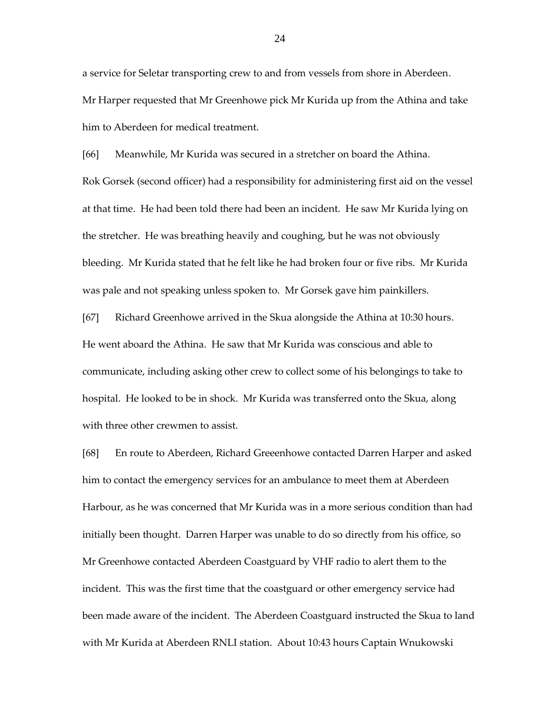a service for Seletar transporting crew to and from vessels from shore in Aberdeen. Mr Harper requested that Mr Greenhowe pick Mr Kurida up from the Athina and take him to Aberdeen for medical treatment.

[66] Meanwhile, Mr Kurida was secured in a stretcher on board the Athina. Rok Gorsek (second officer) had a responsibility for administering first aid on the vessel at that time. He had been told there had been an incident. He saw Mr Kurida lying on the stretcher. He was breathing heavily and coughing, but he was not obviously bleeding. Mr Kurida stated that he felt like he had broken four or five ribs. Mr Kurida was pale and not speaking unless spoken to. Mr Gorsek gave him painkillers.

[67] Richard Greenhowe arrived in the Skua alongside the Athina at 10:30 hours. He went aboard the Athina. He saw that Mr Kurida was conscious and able to communicate, including asking other crew to collect some of his belongings to take to hospital. He looked to be in shock. Mr Kurida was transferred onto the Skua, along with three other crewmen to assist.

[68] En route to Aberdeen, Richard Greeenhowe contacted Darren Harper and asked him to contact the emergency services for an ambulance to meet them at Aberdeen Harbour, as he was concerned that Mr Kurida was in a more serious condition than had initially been thought. Darren Harper was unable to do so directly from his office, so Mr Greenhowe contacted Aberdeen Coastguard by VHF radio to alert them to the incident. This was the first time that the coastguard or other emergency service had been made aware of the incident. The Aberdeen Coastguard instructed the Skua to land with Mr Kurida at Aberdeen RNLI station. About 10:43 hours Captain Wnukowski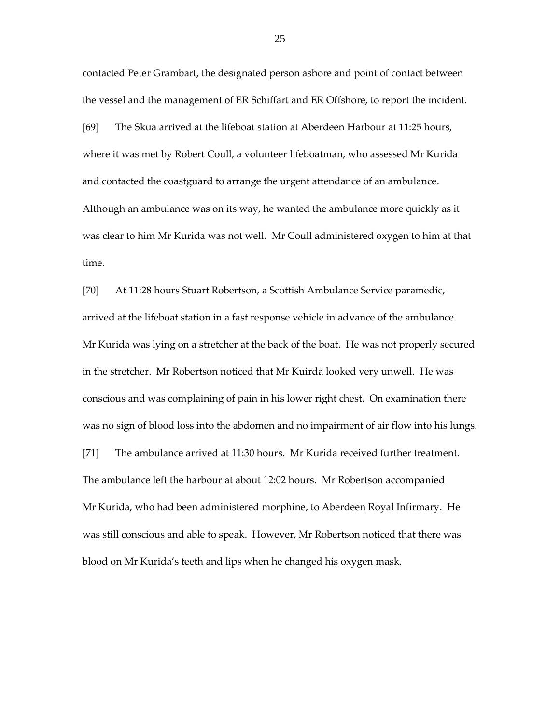contacted Peter Grambart, the designated person ashore and point of contact between the vessel and the management of ER Schiffart and ER Offshore, to report the incident. [69] The Skua arrived at the lifeboat station at Aberdeen Harbour at 11:25 hours, where it was met by Robert Coull, a volunteer lifeboatman, who assessed Mr Kurida and contacted the coastguard to arrange the urgent attendance of an ambulance. Although an ambulance was on its way, he wanted the ambulance more quickly as it was clear to him Mr Kurida was not well. Mr Coull administered oxygen to him at that time.

[70] At 11:28 hours Stuart Robertson, a Scottish Ambulance Service paramedic, arrived at the lifeboat station in a fast response vehicle in advance of the ambulance. Mr Kurida was lying on a stretcher at the back of the boat. He was not properly secured in the stretcher. Mr Robertson noticed that Mr Kuirda looked very unwell. He was conscious and was complaining of pain in his lower right chest. On examination there was no sign of blood loss into the abdomen and no impairment of air flow into his lungs.

[71] The ambulance arrived at 11:30 hours. Mr Kurida received further treatment. The ambulance left the harbour at about 12:02 hours. Mr Robertson accompanied Mr Kurida, who had been administered morphine, to Aberdeen Royal Infirmary. He was still conscious and able to speak. However, Mr Robertson noticed that there was blood on Mr Kurida's teeth and lips when he changed his oxygen mask.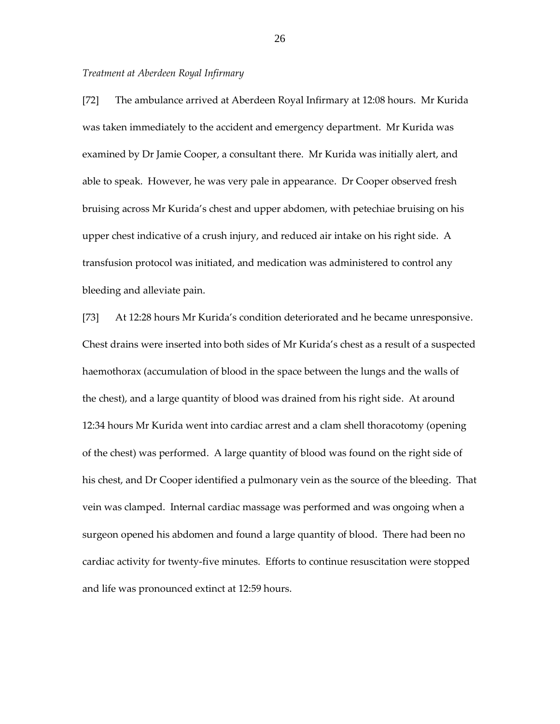#### *Treatment at Aberdeen Royal Infirmary*

[72] The ambulance arrived at Aberdeen Royal Infirmary at 12:08 hours. Mr Kurida was taken immediately to the accident and emergency department. Mr Kurida was examined by Dr Jamie Cooper, a consultant there. Mr Kurida was initially alert, and able to speak. However, he was very pale in appearance. Dr Cooper observed fresh bruising across Mr Kurida's chest and upper abdomen, with petechiae bruising on his upper chest indicative of a crush injury, and reduced air intake on his right side. A transfusion protocol was initiated, and medication was administered to control any bleeding and alleviate pain.

[73] At 12:28 hours Mr Kurida's condition deteriorated and he became unresponsive. Chest drains were inserted into both sides of Mr Kurida's chest as a result of a suspected haemothorax (accumulation of blood in the space between the lungs and the walls of the chest), and a large quantity of blood was drained from his right side. At around 12:34 hours Mr Kurida went into cardiac arrest and a clam shell thoracotomy (opening of the chest) was performed. A large quantity of blood was found on the right side of his chest, and Dr Cooper identified a pulmonary vein as the source of the bleeding. That vein was clamped. Internal cardiac massage was performed and was ongoing when a surgeon opened his abdomen and found a large quantity of blood. There had been no cardiac activity for twenty-five minutes. Efforts to continue resuscitation were stopped and life was pronounced extinct at 12:59 hours.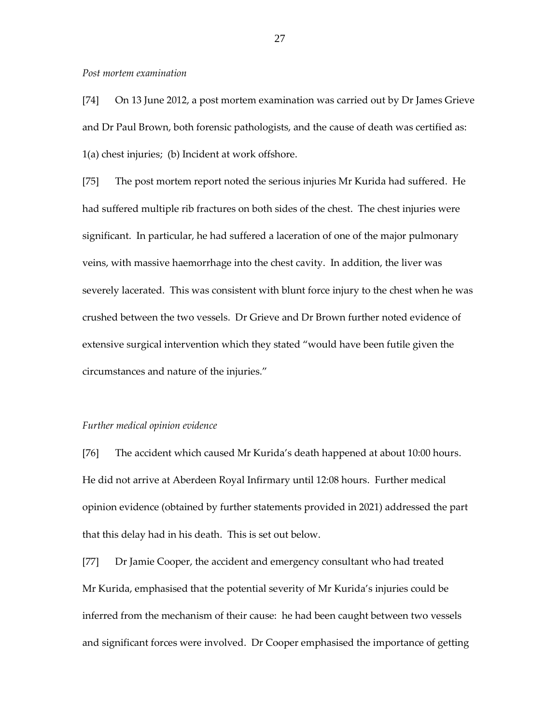#### *Post mortem examination*

[74] On 13 June 2012, a post mortem examination was carried out by Dr James Grieve and Dr Paul Brown, both forensic pathologists, and the cause of death was certified as: 1(a) chest injuries; (b) Incident at work offshore.

[75] The post mortem report noted the serious injuries Mr Kurida had suffered. He had suffered multiple rib fractures on both sides of the chest. The chest injuries were significant. In particular, he had suffered a laceration of one of the major pulmonary veins, with massive haemorrhage into the chest cavity. In addition, the liver was severely lacerated. This was consistent with blunt force injury to the chest when he was crushed between the two vessels. Dr Grieve and Dr Brown further noted evidence of extensive surgical intervention which they stated "would have been futile given the circumstances and nature of the injuries."

#### *Further medical opinion evidence*

[76] The accident which caused Mr Kurida's death happened at about 10:00 hours. He did not arrive at Aberdeen Royal Infirmary until 12:08 hours. Further medical opinion evidence (obtained by further statements provided in 2021) addressed the part that this delay had in his death. This is set out below.

[77] Dr Jamie Cooper, the accident and emergency consultant who had treated Mr Kurida, emphasised that the potential severity of Mr Kurida's injuries could be inferred from the mechanism of their cause: he had been caught between two vessels and significant forces were involved. Dr Cooper emphasised the importance of getting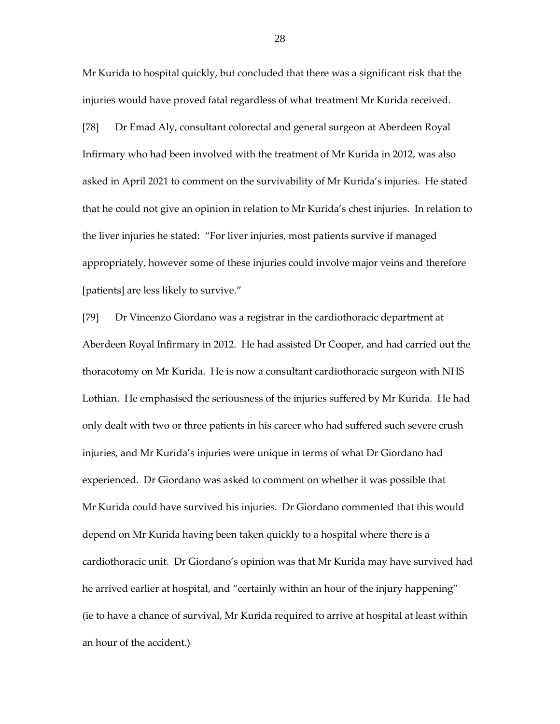Mr Kurida to hospital quickly, but concluded that there was a significant risk that the injuries would have proved fatal regardless of what treatment Mr Kurida received.

[78] Dr Emad Aly, consultant colorectal and general surgeon at Aberdeen Royal Infirmary who had been involved with the treatment of Mr Kurida in 2012, was also asked in April 2021 to comment on the survivability of Mr Kurida's injuries. He stated that he could not give an opinion in relation to Mr Kurida's chest injuries. In relation to the liver injuries he stated: "For liver injuries, most patients survive if managed appropriately, however some of these injuries could involve major veins and therefore [patients] are less likely to survive."

[79] Dr Vincenzo Giordano was a registrar in the cardiothoracic department at Aberdeen Royal Infirmary in 2012. He had assisted Dr Cooper, and had carried out the thoracotomy on Mr Kurida. He is now a consultant cardiothoracic surgeon with NHS Lothian. He emphasised the seriousness of the injuries suffered by Mr Kurida. He had only dealt with two or three patients in his career who had suffered such severe crush injuries, and Mr Kurida's injuries were unique in terms of what Dr Giordano had experienced. Dr Giordano was asked to comment on whether it was possible that Mr Kurida could have survived his injuries. Dr Giordano commented that this would depend on Mr Kurida having been taken quickly to a hospital where there is a cardiothoracic unit. Dr Giordano's opinion was that Mr Kurida may have survived had he arrived earlier at hospital, and "certainly within an hour of the injury happening" (ie to have a chance of survival, Mr Kurida required to arrive at hospital at least within an hour of the accident.)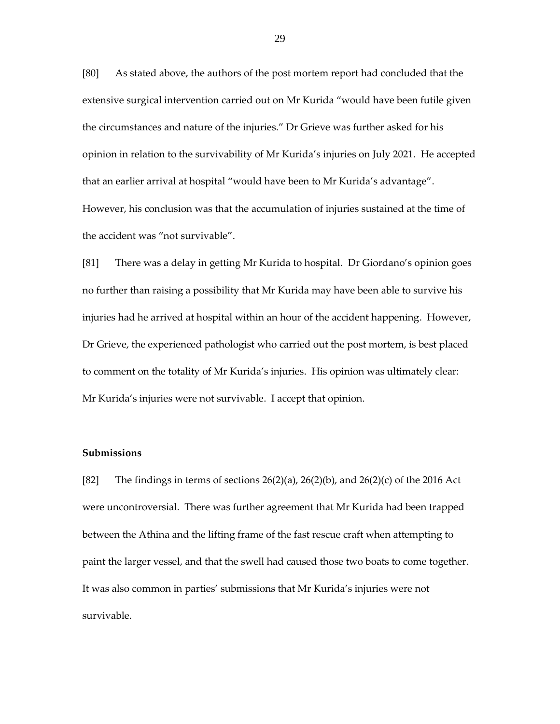[80] As stated above, the authors of the post mortem report had concluded that the extensive surgical intervention carried out on Mr Kurida "would have been futile given the circumstances and nature of the injuries." Dr Grieve was further asked for his opinion in relation to the survivability of Mr Kurida's injuries on July 2021. He accepted that an earlier arrival at hospital "would have been to Mr Kurida's advantage". However, his conclusion was that the accumulation of injuries sustained at the time of the accident was "not survivable".

[81] There was a delay in getting Mr Kurida to hospital. Dr Giordano's opinion goes no further than raising a possibility that Mr Kurida may have been able to survive his injuries had he arrived at hospital within an hour of the accident happening. However, Dr Grieve, the experienced pathologist who carried out the post mortem, is best placed to comment on the totality of Mr Kurida's injuries. His opinion was ultimately clear: Mr Kurida's injuries were not survivable. I accept that opinion.

## **Submissions**

[82] The findings in terms of sections  $26(2)(a)$ ,  $26(2)(b)$ , and  $26(2)(c)$  of the 2016 Act were uncontroversial. There was further agreement that Mr Kurida had been trapped between the Athina and the lifting frame of the fast rescue craft when attempting to paint the larger vessel, and that the swell had caused those two boats to come together. It was also common in parties' submissions that Mr Kurida's injuries were not survivable.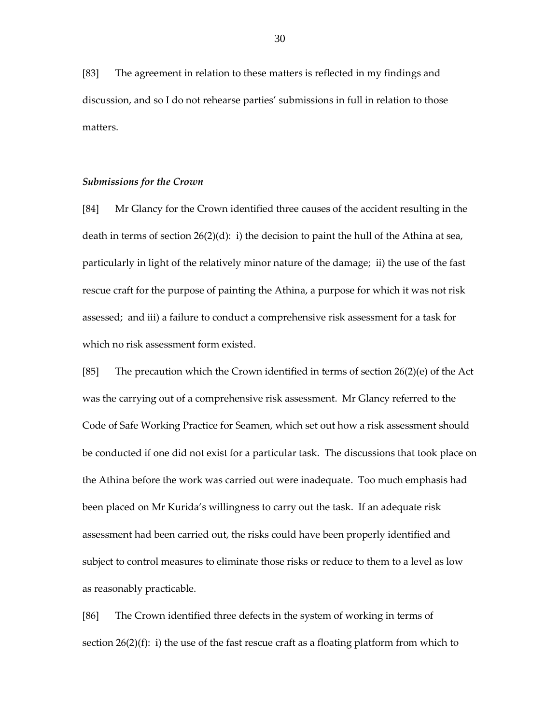[83] The agreement in relation to these matters is reflected in my findings and discussion, and so I do not rehearse parties' submissions in full in relation to those matters.

## *Submissions for the Crown*

[84] Mr Glancy for the Crown identified three causes of the accident resulting in the death in terms of section 26(2)(d): i) the decision to paint the hull of the Athina at sea, particularly in light of the relatively minor nature of the damage; ii) the use of the fast rescue craft for the purpose of painting the Athina, a purpose for which it was not risk assessed; and iii) a failure to conduct a comprehensive risk assessment for a task for which no risk assessment form existed.

[85] The precaution which the Crown identified in terms of section  $26(2)(e)$  of the Act was the carrying out of a comprehensive risk assessment. Mr Glancy referred to the Code of Safe Working Practice for Seamen, which set out how a risk assessment should be conducted if one did not exist for a particular task. The discussions that took place on the Athina before the work was carried out were inadequate. Too much emphasis had been placed on Mr Kurida's willingness to carry out the task. If an adequate risk assessment had been carried out, the risks could have been properly identified and subject to control measures to eliminate those risks or reduce to them to a level as low as reasonably practicable.

[86] The Crown identified three defects in the system of working in terms of section  $26(2)(f)$ : i) the use of the fast rescue craft as a floating platform from which to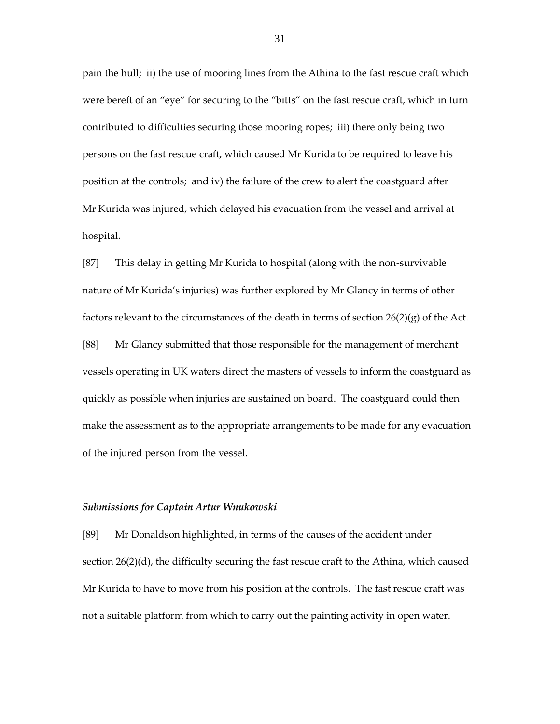pain the hull; ii) the use of mooring lines from the Athina to the fast rescue craft which were bereft of an "eye" for securing to the "bitts" on the fast rescue craft, which in turn contributed to difficulties securing those mooring ropes; iii) there only being two persons on the fast rescue craft, which caused Mr Kurida to be required to leave his position at the controls; and iv) the failure of the crew to alert the coastguard after Mr Kurida was injured, which delayed his evacuation from the vessel and arrival at hospital.

[87] This delay in getting Mr Kurida to hospital (along with the non-survivable nature of Mr Kurida's injuries) was further explored by Mr Glancy in terms of other factors relevant to the circumstances of the death in terms of section  $26(2)(g)$  of the Act. [88] Mr Glancy submitted that those responsible for the management of merchant vessels operating in UK waters direct the masters of vessels to inform the coastguard as quickly as possible when injuries are sustained on board. The coastguard could then make the assessment as to the appropriate arrangements to be made for any evacuation of the injured person from the vessel.

#### *Submissions for Captain Artur Wnukowski*

[89] Mr Donaldson highlighted, in terms of the causes of the accident under section 26(2)(d), the difficulty securing the fast rescue craft to the Athina, which caused Mr Kurida to have to move from his position at the controls. The fast rescue craft was not a suitable platform from which to carry out the painting activity in open water.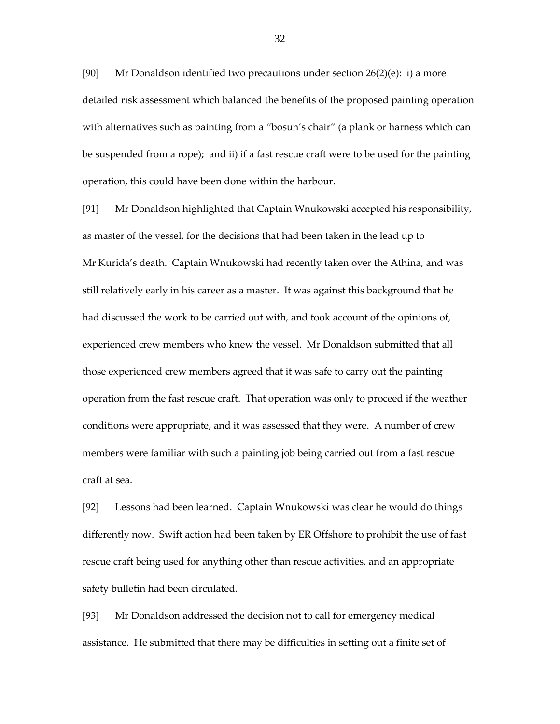[90] Mr Donaldson identified two precautions under section 26(2)(e): i) a more detailed risk assessment which balanced the benefits of the proposed painting operation with alternatives such as painting from a "bosun's chair" (a plank or harness which can be suspended from a rope); and ii) if a fast rescue craft were to be used for the painting operation, this could have been done within the harbour.

[91] Mr Donaldson highlighted that Captain Wnukowski accepted his responsibility, as master of the vessel, for the decisions that had been taken in the lead up to Mr Kurida's death. Captain Wnukowski had recently taken over the Athina, and was still relatively early in his career as a master. It was against this background that he had discussed the work to be carried out with, and took account of the opinions of, experienced crew members who knew the vessel. Mr Donaldson submitted that all those experienced crew members agreed that it was safe to carry out the painting operation from the fast rescue craft. That operation was only to proceed if the weather conditions were appropriate, and it was assessed that they were. A number of crew members were familiar with such a painting job being carried out from a fast rescue craft at sea.

[92] Lessons had been learned. Captain Wnukowski was clear he would do things differently now. Swift action had been taken by ER Offshore to prohibit the use of fast rescue craft being used for anything other than rescue activities, and an appropriate safety bulletin had been circulated.

[93] Mr Donaldson addressed the decision not to call for emergency medical assistance. He submitted that there may be difficulties in setting out a finite set of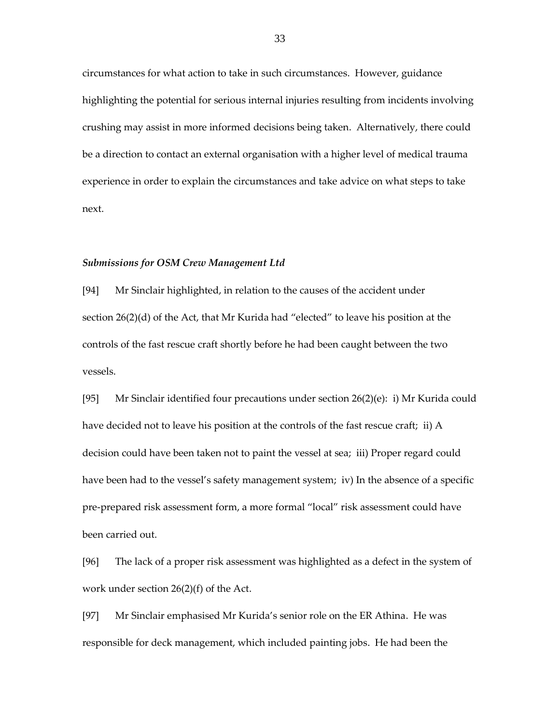circumstances for what action to take in such circumstances. However, guidance highlighting the potential for serious internal injuries resulting from incidents involving crushing may assist in more informed decisions being taken. Alternatively, there could be a direction to contact an external organisation with a higher level of medical trauma experience in order to explain the circumstances and take advice on what steps to take next.

#### *Submissions for OSM Crew Management Ltd*

[94] Mr Sinclair highlighted, in relation to the causes of the accident under section 26(2)(d) of the Act, that Mr Kurida had "elected" to leave his position at the controls of the fast rescue craft shortly before he had been caught between the two vessels.

[95] Mr Sinclair identified four precautions under section 26(2)(e): i) Mr Kurida could have decided not to leave his position at the controls of the fast rescue craft; ii) A decision could have been taken not to paint the vessel at sea; iii) Proper regard could have been had to the vessel's safety management system; iv) In the absence of a specific pre-prepared risk assessment form, a more formal "local" risk assessment could have been carried out.

[96] The lack of a proper risk assessment was highlighted as a defect in the system of work under section 26(2)(f) of the Act.

[97] Mr Sinclair emphasised Mr Kurida's senior role on the ER Athina. He was responsible for deck management, which included painting jobs. He had been the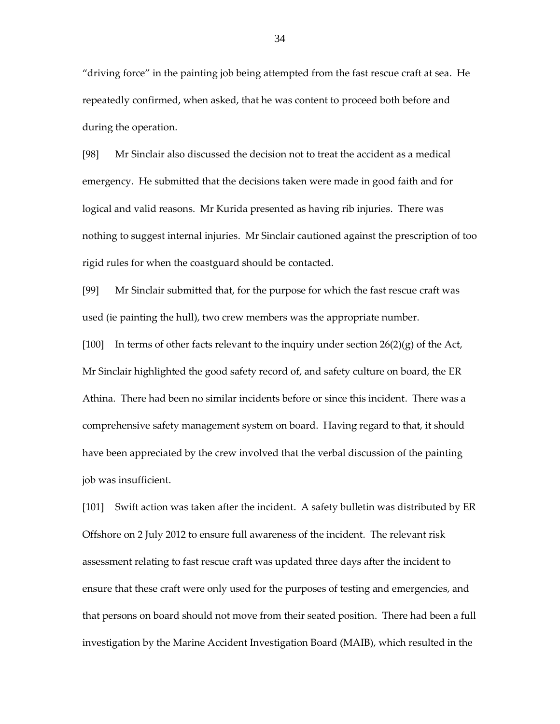"driving force" in the painting job being attempted from the fast rescue craft at sea. He repeatedly confirmed, when asked, that he was content to proceed both before and during the operation.

[98] Mr Sinclair also discussed the decision not to treat the accident as a medical emergency. He submitted that the decisions taken were made in good faith and for logical and valid reasons. Mr Kurida presented as having rib injuries. There was nothing to suggest internal injuries. Mr Sinclair cautioned against the prescription of too rigid rules for when the coastguard should be contacted.

[99] Mr Sinclair submitted that, for the purpose for which the fast rescue craft was used (ie painting the hull), two crew members was the appropriate number.

[100] In terms of other facts relevant to the inquiry under section  $26(2)(g)$  of the Act, Mr Sinclair highlighted the good safety record of, and safety culture on board, the ER Athina. There had been no similar incidents before or since this incident. There was a comprehensive safety management system on board. Having regard to that, it should have been appreciated by the crew involved that the verbal discussion of the painting job was insufficient.

[101] Swift action was taken after the incident. A safety bulletin was distributed by ER Offshore on 2 July 2012 to ensure full awareness of the incident. The relevant risk assessment relating to fast rescue craft was updated three days after the incident to ensure that these craft were only used for the purposes of testing and emergencies, and that persons on board should not move from their seated position. There had been a full investigation by the Marine Accident Investigation Board (MAIB), which resulted in the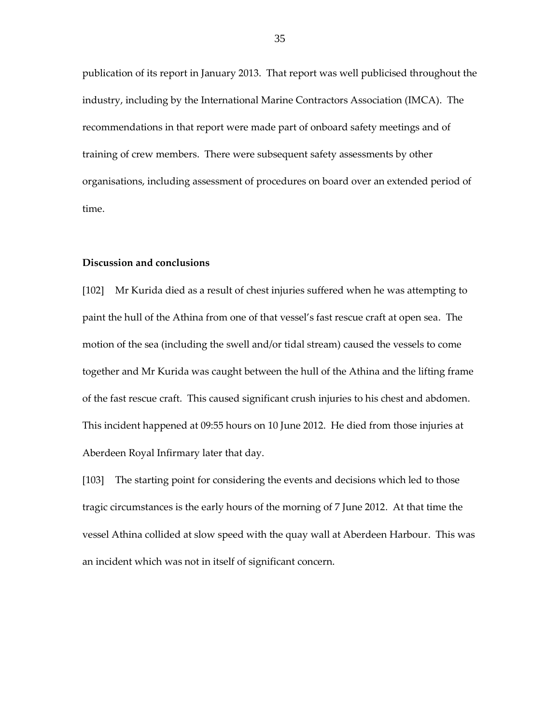publication of its report in January 2013. That report was well publicised throughout the industry, including by the International Marine Contractors Association (IMCA). The recommendations in that report were made part of onboard safety meetings and of training of crew members. There were subsequent safety assessments by other organisations, including assessment of procedures on board over an extended period of time.

#### **Discussion and conclusions**

[102] Mr Kurida died as a result of chest injuries suffered when he was attempting to paint the hull of the Athina from one of that vessel's fast rescue craft at open sea. The motion of the sea (including the swell and/or tidal stream) caused the vessels to come together and Mr Kurida was caught between the hull of the Athina and the lifting frame of the fast rescue craft. This caused significant crush injuries to his chest and abdomen. This incident happened at 09:55 hours on 10 June 2012. He died from those injuries at Aberdeen Royal Infirmary later that day.

[103] The starting point for considering the events and decisions which led to those tragic circumstances is the early hours of the morning of 7 June 2012. At that time the vessel Athina collided at slow speed with the quay wall at Aberdeen Harbour. This was an incident which was not in itself of significant concern.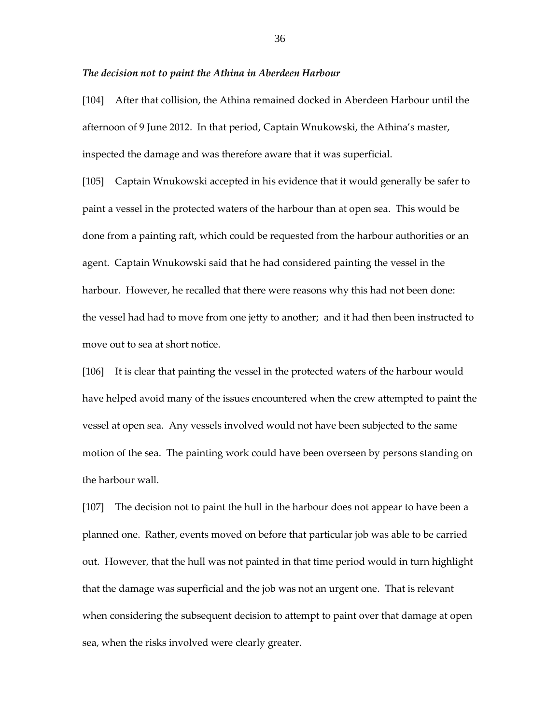#### *The decision not to paint the Athina in Aberdeen Harbour*

[104] After that collision, the Athina remained docked in Aberdeen Harbour until the afternoon of 9 June 2012. In that period, Captain Wnukowski, the Athina's master, inspected the damage and was therefore aware that it was superficial.

[105] Captain Wnukowski accepted in his evidence that it would generally be safer to paint a vessel in the protected waters of the harbour than at open sea. This would be done from a painting raft, which could be requested from the harbour authorities or an agent. Captain Wnukowski said that he had considered painting the vessel in the harbour. However, he recalled that there were reasons why this had not been done: the vessel had had to move from one jetty to another; and it had then been instructed to move out to sea at short notice.

[106] It is clear that painting the vessel in the protected waters of the harbour would have helped avoid many of the issues encountered when the crew attempted to paint the vessel at open sea. Any vessels involved would not have been subjected to the same motion of the sea. The painting work could have been overseen by persons standing on the harbour wall.

[107] The decision not to paint the hull in the harbour does not appear to have been a planned one. Rather, events moved on before that particular job was able to be carried out. However, that the hull was not painted in that time period would in turn highlight that the damage was superficial and the job was not an urgent one. That is relevant when considering the subsequent decision to attempt to paint over that damage at open sea, when the risks involved were clearly greater.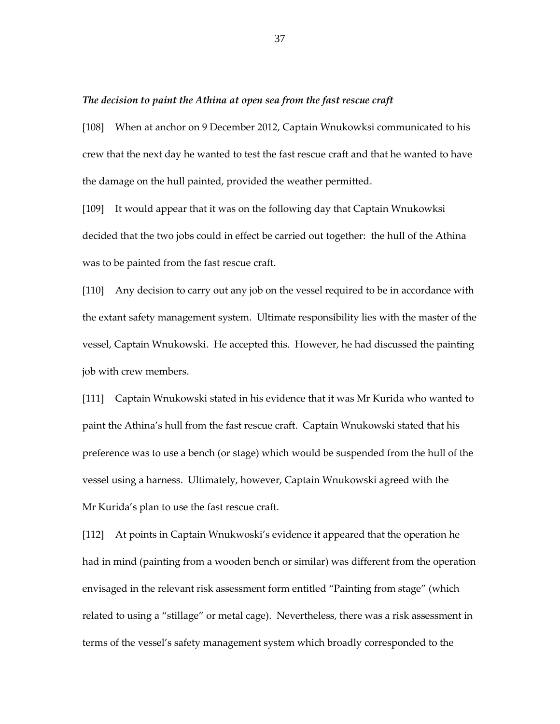## *The decision to paint the Athina at open sea from the fast rescue craft*

[108] When at anchor on 9 December 2012, Captain Wnukowksi communicated to his crew that the next day he wanted to test the fast rescue craft and that he wanted to have the damage on the hull painted, provided the weather permitted.

[109] It would appear that it was on the following day that Captain Wnukowksi decided that the two jobs could in effect be carried out together: the hull of the Athina was to be painted from the fast rescue craft.

[110] Any decision to carry out any job on the vessel required to be in accordance with the extant safety management system. Ultimate responsibility lies with the master of the vessel, Captain Wnukowski. He accepted this. However, he had discussed the painting job with crew members.

[111] Captain Wnukowski stated in his evidence that it was Mr Kurida who wanted to paint the Athina's hull from the fast rescue craft. Captain Wnukowski stated that his preference was to use a bench (or stage) which would be suspended from the hull of the vessel using a harness. Ultimately, however, Captain Wnukowski agreed with the Mr Kurida's plan to use the fast rescue craft.

[112] At points in Captain Wnukwoski's evidence it appeared that the operation he had in mind (painting from a wooden bench or similar) was different from the operation envisaged in the relevant risk assessment form entitled "Painting from stage" (which related to using a "stillage" or metal cage). Nevertheless, there was a risk assessment in terms of the vessel's safety management system which broadly corresponded to the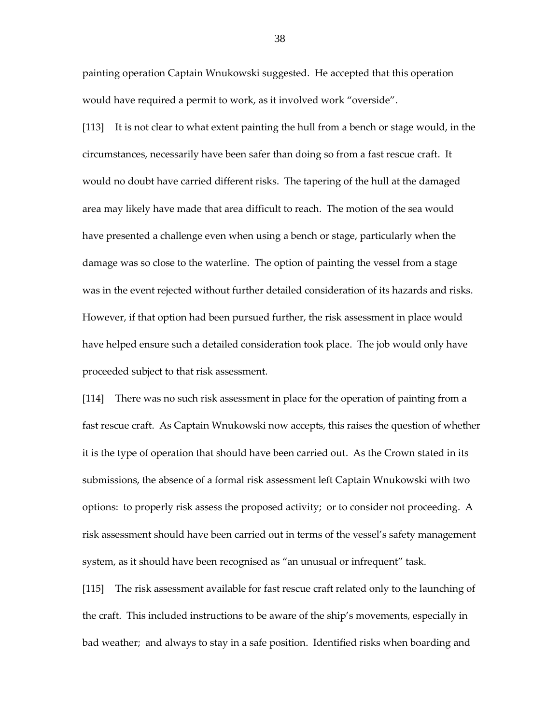painting operation Captain Wnukowski suggested. He accepted that this operation would have required a permit to work, as it involved work "overside".

[113] It is not clear to what extent painting the hull from a bench or stage would, in the circumstances, necessarily have been safer than doing so from a fast rescue craft. It would no doubt have carried different risks. The tapering of the hull at the damaged area may likely have made that area difficult to reach. The motion of the sea would have presented a challenge even when using a bench or stage, particularly when the damage was so close to the waterline. The option of painting the vessel from a stage was in the event rejected without further detailed consideration of its hazards and risks. However, if that option had been pursued further, the risk assessment in place would have helped ensure such a detailed consideration took place. The job would only have proceeded subject to that risk assessment.

[114] There was no such risk assessment in place for the operation of painting from a fast rescue craft. As Captain Wnukowski now accepts, this raises the question of whether it is the type of operation that should have been carried out. As the Crown stated in its submissions, the absence of a formal risk assessment left Captain Wnukowski with two options: to properly risk assess the proposed activity; or to consider not proceeding. A risk assessment should have been carried out in terms of the vessel's safety management system, as it should have been recognised as "an unusual or infrequent" task.

[115] The risk assessment available for fast rescue craft related only to the launching of the craft. This included instructions to be aware of the ship's movements, especially in bad weather; and always to stay in a safe position. Identified risks when boarding and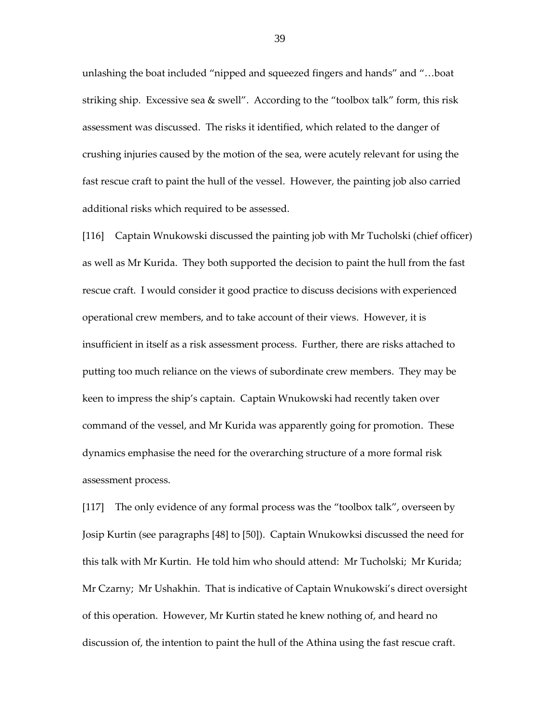unlashing the boat included "nipped and squeezed fingers and hands" and "…boat striking ship. Excessive sea & swell". According to the "toolbox talk" form, this risk assessment was discussed. The risks it identified, which related to the danger of crushing injuries caused by the motion of the sea, were acutely relevant for using the fast rescue craft to paint the hull of the vessel. However, the painting job also carried additional risks which required to be assessed.

[116] Captain Wnukowski discussed the painting job with Mr Tucholski (chief officer) as well as Mr Kurida. They both supported the decision to paint the hull from the fast rescue craft. I would consider it good practice to discuss decisions with experienced operational crew members, and to take account of their views. However, it is insufficient in itself as a risk assessment process. Further, there are risks attached to putting too much reliance on the views of subordinate crew members. They may be keen to impress the ship's captain. Captain Wnukowski had recently taken over command of the vessel, and Mr Kurida was apparently going for promotion. These dynamics emphasise the need for the overarching structure of a more formal risk assessment process.

[117] The only evidence of any formal process was the "toolbox talk", overseen by Josip Kurtin (see paragraphs [48] to [50]). Captain Wnukowksi discussed the need for this talk with Mr Kurtin. He told him who should attend: Mr Tucholski; Mr Kurida; Mr Czarny; Mr Ushakhin. That is indicative of Captain Wnukowski's direct oversight of this operation. However, Mr Kurtin stated he knew nothing of, and heard no discussion of, the intention to paint the hull of the Athina using the fast rescue craft.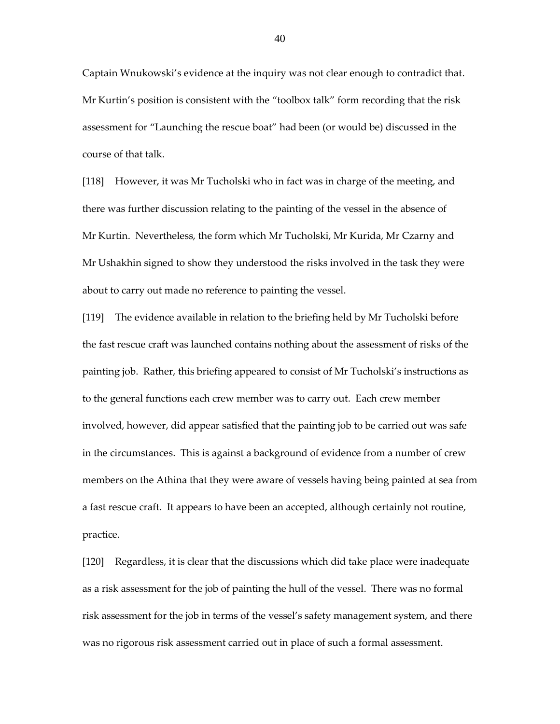Captain Wnukowski's evidence at the inquiry was not clear enough to contradict that. Mr Kurtin's position is consistent with the "toolbox talk" form recording that the risk assessment for "Launching the rescue boat" had been (or would be) discussed in the course of that talk.

[118] However, it was Mr Tucholski who in fact was in charge of the meeting, and there was further discussion relating to the painting of the vessel in the absence of Mr Kurtin. Nevertheless, the form which Mr Tucholski, Mr Kurida, Mr Czarny and Mr Ushakhin signed to show they understood the risks involved in the task they were about to carry out made no reference to painting the vessel.

[119] The evidence available in relation to the briefing held by Mr Tucholski before the fast rescue craft was launched contains nothing about the assessment of risks of the painting job. Rather, this briefing appeared to consist of Mr Tucholski's instructions as to the general functions each crew member was to carry out. Each crew member involved, however, did appear satisfied that the painting job to be carried out was safe in the circumstances. This is against a background of evidence from a number of crew members on the Athina that they were aware of vessels having being painted at sea from a fast rescue craft. It appears to have been an accepted, although certainly not routine, practice.

[120] Regardless, it is clear that the discussions which did take place were inadequate as a risk assessment for the job of painting the hull of the vessel. There was no formal risk assessment for the job in terms of the vessel's safety management system, and there was no rigorous risk assessment carried out in place of such a formal assessment.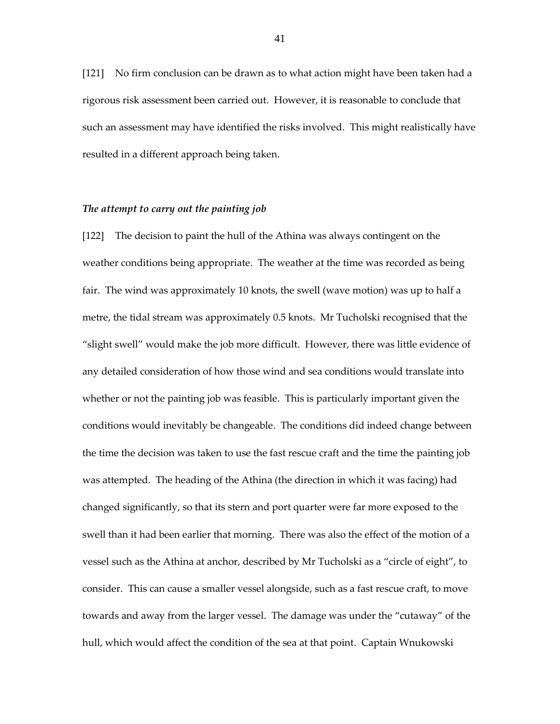[121] No firm conclusion can be drawn as to what action might have been taken had a rigorous risk assessment been carried out. However, it is reasonable to conclude that such an assessment may have identified the risks involved. This might realistically have resulted in a different approach being taken.

#### *The attempt to carry out the painting job*

[122] The decision to paint the hull of the Athina was always contingent on the weather conditions being appropriate. The weather at the time was recorded as being fair. The wind was approximately 10 knots, the swell (wave motion) was up to half a metre, the tidal stream was approximately 0.5 knots. Mr Tucholski recognised that the "slight swell" would make the job more difficult. However, there was little evidence of any detailed consideration of how those wind and sea conditions would translate into whether or not the painting job was feasible. This is particularly important given the conditions would inevitably be changeable. The conditions did indeed change between the time the decision was taken to use the fast rescue craft and the time the painting job was attempted. The heading of the Athina (the direction in which it was facing) had changed significantly, so that its stern and port quarter were far more exposed to the swell than it had been earlier that morning. There was also the effect of the motion of a vessel such as the Athina at anchor, described by Mr Tucholski as a "circle of eight", to consider. This can cause a smaller vessel alongside, such as a fast rescue craft, to move towards and away from the larger vessel. The damage was under the "cutaway" of the hull, which would affect the condition of the sea at that point. Captain Wnukowski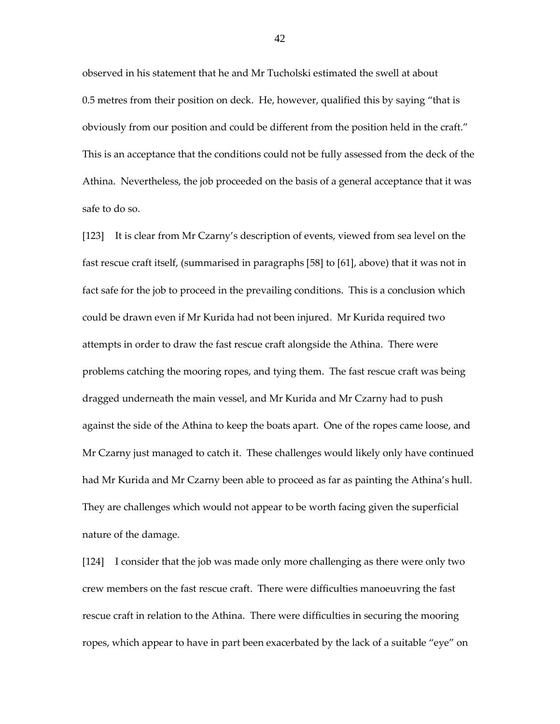observed in his statement that he and Mr Tucholski estimated the swell at about 0.5 metres from their position on deck. He, however, qualified this by saying "that is obviously from our position and could be different from the position held in the craft." This is an acceptance that the conditions could not be fully assessed from the deck of the Athina. Nevertheless, the job proceeded on the basis of a general acceptance that it was safe to do so.

[123] It is clear from Mr Czarny's description of events, viewed from sea level on the fast rescue craft itself, (summarised in paragraphs [58] to [61], above) that it was not in fact safe for the job to proceed in the prevailing conditions. This is a conclusion which could be drawn even if Mr Kurida had not been injured. Mr Kurida required two attempts in order to draw the fast rescue craft alongside the Athina. There were problems catching the mooring ropes, and tying them. The fast rescue craft was being dragged underneath the main vessel, and Mr Kurida and Mr Czarny had to push against the side of the Athina to keep the boats apart. One of the ropes came loose, and Mr Czarny just managed to catch it. These challenges would likely only have continued had Mr Kurida and Mr Czarny been able to proceed as far as painting the Athina's hull. They are challenges which would not appear to be worth facing given the superficial nature of the damage.

[124] I consider that the job was made only more challenging as there were only two crew members on the fast rescue craft. There were difficulties manoeuvring the fast rescue craft in relation to the Athina. There were difficulties in securing the mooring ropes, which appear to have in part been exacerbated by the lack of a suitable "eye" on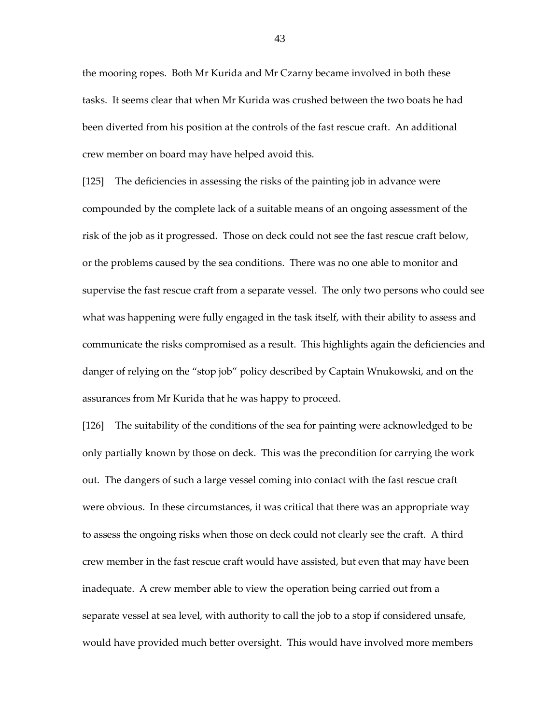the mooring ropes. Both Mr Kurida and Mr Czarny became involved in both these tasks. It seems clear that when Mr Kurida was crushed between the two boats he had been diverted from his position at the controls of the fast rescue craft. An additional crew member on board may have helped avoid this.

[125] The deficiencies in assessing the risks of the painting job in advance were compounded by the complete lack of a suitable means of an ongoing assessment of the risk of the job as it progressed. Those on deck could not see the fast rescue craft below, or the problems caused by the sea conditions. There was no one able to monitor and supervise the fast rescue craft from a separate vessel. The only two persons who could see what was happening were fully engaged in the task itself, with their ability to assess and communicate the risks compromised as a result. This highlights again the deficiencies and danger of relying on the "stop job" policy described by Captain Wnukowski, and on the assurances from Mr Kurida that he was happy to proceed.

[126] The suitability of the conditions of the sea for painting were acknowledged to be only partially known by those on deck. This was the precondition for carrying the work out. The dangers of such a large vessel coming into contact with the fast rescue craft were obvious. In these circumstances, it was critical that there was an appropriate way to assess the ongoing risks when those on deck could not clearly see the craft. A third crew member in the fast rescue craft would have assisted, but even that may have been inadequate. A crew member able to view the operation being carried out from a separate vessel at sea level, with authority to call the job to a stop if considered unsafe, would have provided much better oversight. This would have involved more members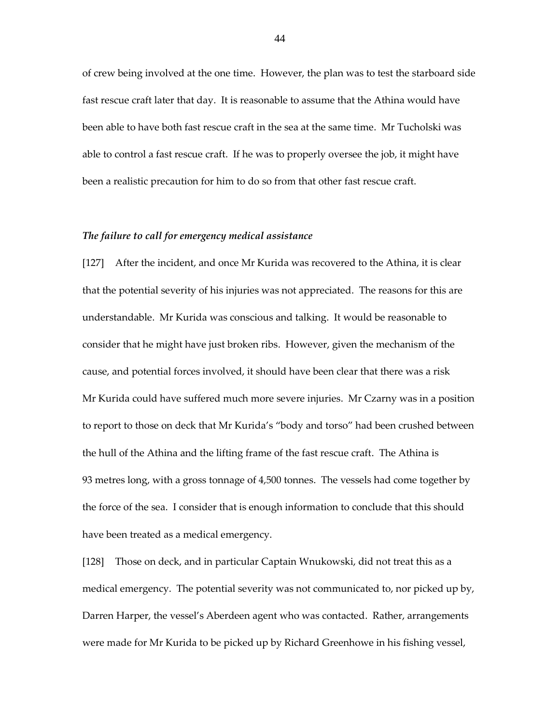of crew being involved at the one time. However, the plan was to test the starboard side fast rescue craft later that day. It is reasonable to assume that the Athina would have been able to have both fast rescue craft in the sea at the same time. Mr Tucholski was able to control a fast rescue craft. If he was to properly oversee the job, it might have been a realistic precaution for him to do so from that other fast rescue craft.

# *The failure to call for emergency medical assistance*

[127] After the incident, and once Mr Kurida was recovered to the Athina, it is clear that the potential severity of his injuries was not appreciated. The reasons for this are understandable. Mr Kurida was conscious and talking. It would be reasonable to consider that he might have just broken ribs. However, given the mechanism of the cause, and potential forces involved, it should have been clear that there was a risk Mr Kurida could have suffered much more severe injuries. Mr Czarny was in a position to report to those on deck that Mr Kurida's "body and torso" had been crushed between the hull of the Athina and the lifting frame of the fast rescue craft. The Athina is 93 metres long, with a gross tonnage of 4,500 tonnes. The vessels had come together by the force of the sea. I consider that is enough information to conclude that this should have been treated as a medical emergency.

[128] Those on deck, and in particular Captain Wnukowski, did not treat this as a medical emergency. The potential severity was not communicated to, nor picked up by, Darren Harper, the vessel's Aberdeen agent who was contacted. Rather, arrangements were made for Mr Kurida to be picked up by Richard Greenhowe in his fishing vessel,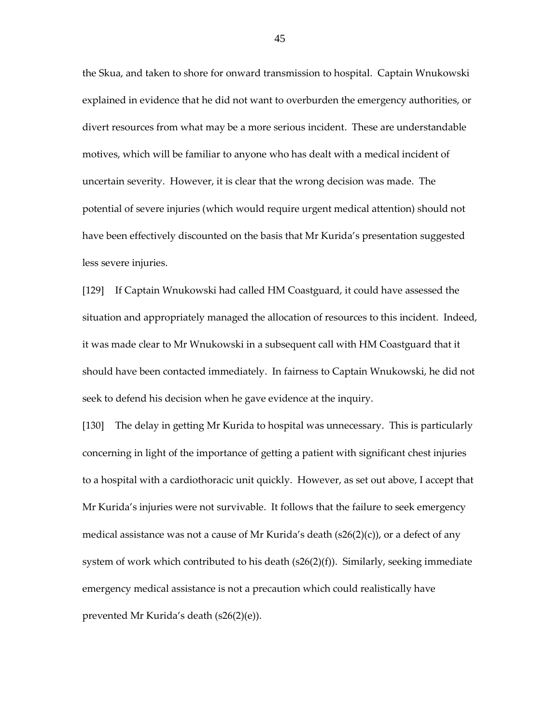the Skua, and taken to shore for onward transmission to hospital. Captain Wnukowski explained in evidence that he did not want to overburden the emergency authorities, or divert resources from what may be a more serious incident. These are understandable motives, which will be familiar to anyone who has dealt with a medical incident of uncertain severity. However, it is clear that the wrong decision was made. The potential of severe injuries (which would require urgent medical attention) should not have been effectively discounted on the basis that Mr Kurida's presentation suggested less severe injuries.

[129] If Captain Wnukowski had called HM Coastguard, it could have assessed the situation and appropriately managed the allocation of resources to this incident. Indeed, it was made clear to Mr Wnukowski in a subsequent call with HM Coastguard that it should have been contacted immediately. In fairness to Captain Wnukowski, he did not seek to defend his decision when he gave evidence at the inquiry.

[130] The delay in getting Mr Kurida to hospital was unnecessary. This is particularly concerning in light of the importance of getting a patient with significant chest injuries to a hospital with a cardiothoracic unit quickly. However, as set out above, I accept that Mr Kurida's injuries were not survivable. It follows that the failure to seek emergency medical assistance was not a cause of Mr Kurida's death  $(s26(2)(c))$ , or a defect of any system of work which contributed to his death  $(s26(2)(f))$ . Similarly, seeking immediate emergency medical assistance is not a precaution which could realistically have prevented Mr Kurida's death (s26(2)(e)).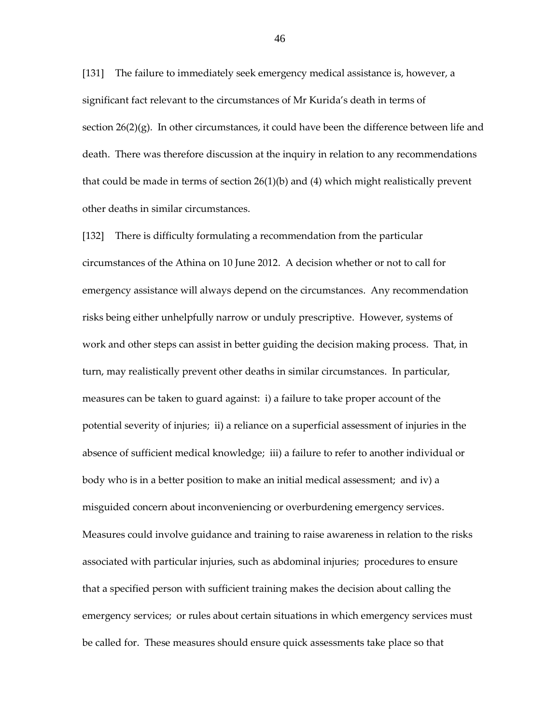[131] The failure to immediately seek emergency medical assistance is, however, a significant fact relevant to the circumstances of Mr Kurida's death in terms of section  $26(2)(g)$ . In other circumstances, it could have been the difference between life and death. There was therefore discussion at the inquiry in relation to any recommendations that could be made in terms of section 26(1)(b) and (4) which might realistically prevent other deaths in similar circumstances.

[132] There is difficulty formulating a recommendation from the particular circumstances of the Athina on 10 June 2012. A decision whether or not to call for emergency assistance will always depend on the circumstances. Any recommendation risks being either unhelpfully narrow or unduly prescriptive. However, systems of work and other steps can assist in better guiding the decision making process. That, in turn, may realistically prevent other deaths in similar circumstances. In particular, measures can be taken to guard against: i) a failure to take proper account of the potential severity of injuries; ii) a reliance on a superficial assessment of injuries in the absence of sufficient medical knowledge; iii) a failure to refer to another individual or body who is in a better position to make an initial medical assessment; and iv) a misguided concern about inconveniencing or overburdening emergency services. Measures could involve guidance and training to raise awareness in relation to the risks associated with particular injuries, such as abdominal injuries; procedures to ensure that a specified person with sufficient training makes the decision about calling the emergency services; or rules about certain situations in which emergency services must be called for. These measures should ensure quick assessments take place so that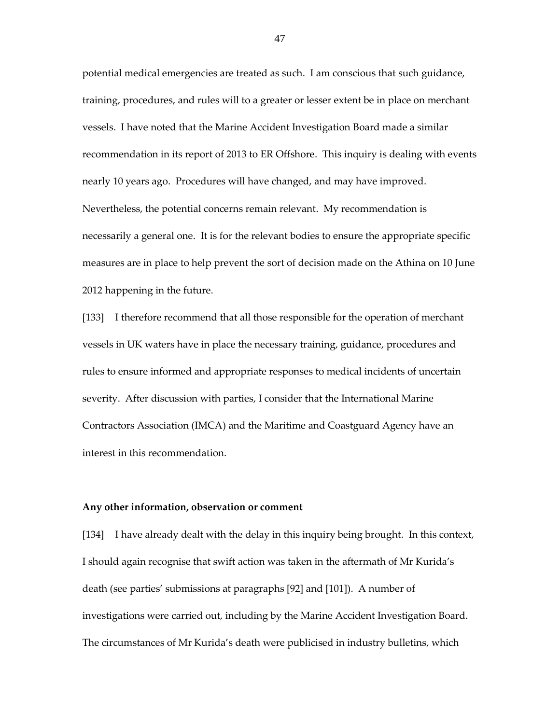potential medical emergencies are treated as such. I am conscious that such guidance, training, procedures, and rules will to a greater or lesser extent be in place on merchant vessels. I have noted that the Marine Accident Investigation Board made a similar recommendation in its report of 2013 to ER Offshore. This inquiry is dealing with events nearly 10 years ago. Procedures will have changed, and may have improved. Nevertheless, the potential concerns remain relevant. My recommendation is necessarily a general one. It is for the relevant bodies to ensure the appropriate specific measures are in place to help prevent the sort of decision made on the Athina on 10 June 2012 happening in the future.

[133] I therefore recommend that all those responsible for the operation of merchant vessels in UK waters have in place the necessary training, guidance, procedures and rules to ensure informed and appropriate responses to medical incidents of uncertain severity. After discussion with parties, I consider that the International Marine Contractors Association (IMCA) and the Maritime and Coastguard Agency have an interest in this recommendation.

## **Any other information, observation or comment**

[134] I have already dealt with the delay in this inquiry being brought. In this context, I should again recognise that swift action was taken in the aftermath of Mr Kurida's death (see parties' submissions at paragraphs [92] and [101]). A number of investigations were carried out, including by the Marine Accident Investigation Board. The circumstances of Mr Kurida's death were publicised in industry bulletins, which